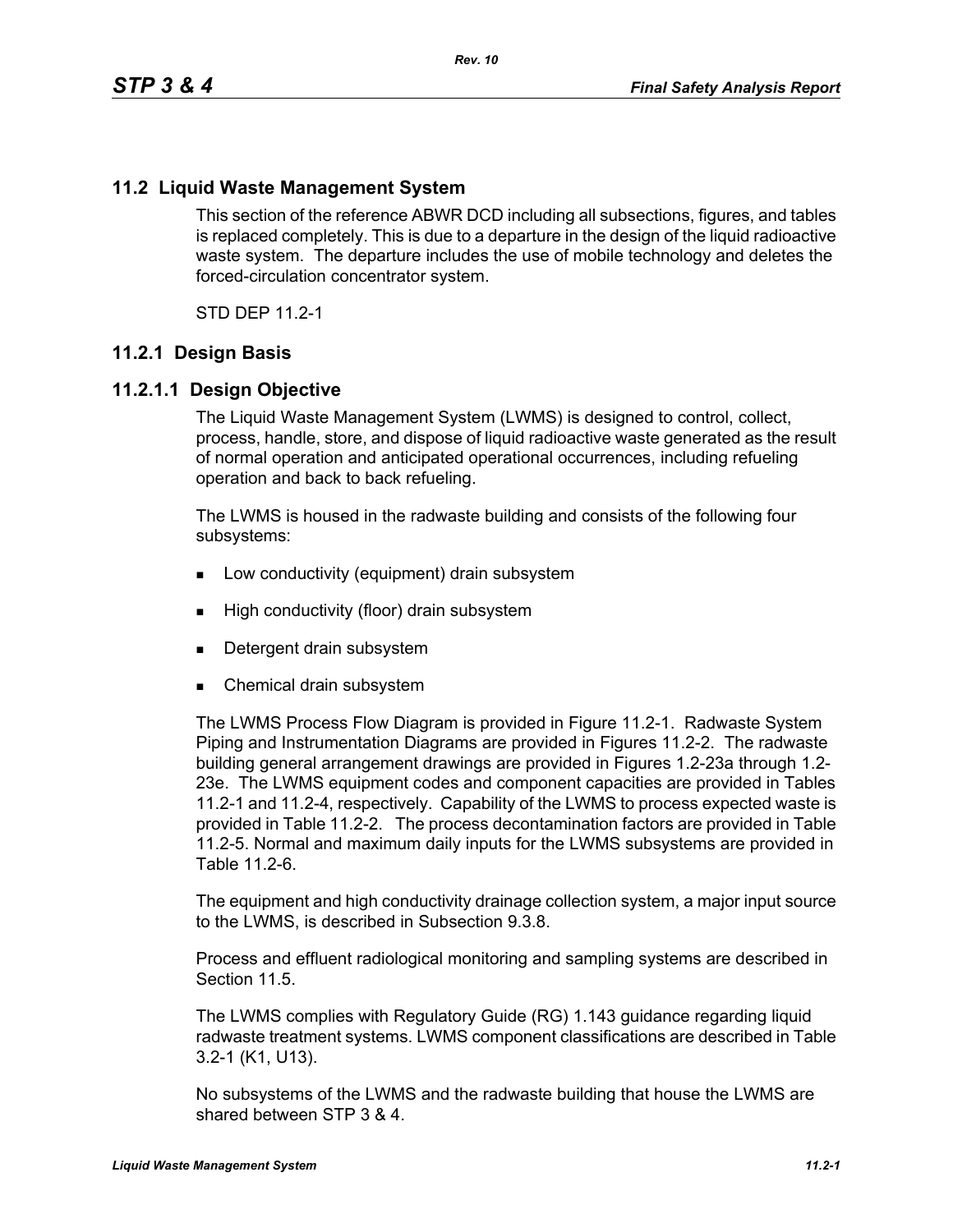#### **11.2 Liquid Waste Management System**

This section of the reference ABWR DCD including all subsections, figures, and tables is replaced completely. This is due to a departure in the design of the liquid radioactive waste system. The departure includes the use of mobile technology and deletes the forced-circulation concentrator system.

STD DEP 11.2-1

#### **11.2.1 Design Basis**

#### **11.2.1.1 Design Objective**

The Liquid Waste Management System (LWMS) is designed to control, collect, process, handle, store, and dispose of liquid radioactive waste generated as the result of normal operation and anticipated operational occurrences, including refueling operation and back to back refueling.

The LWMS is housed in the radwaste building and consists of the following four subsystems:

- **Low conductivity (equipment) drain subsystem**
- **High conductivity (floor) drain subsystem**
- Detergent drain subsystem
- Chemical drain subsystem

The LWMS Process Flow Diagram is provided in Figure 11.2-1. Radwaste System Piping and Instrumentation Diagrams are provided in Figures 11.2-2. The radwaste building general arrangement drawings are provided in Figures 1.2-23a through 1.2- 23e. The LWMS equipment codes and component capacities are provided in Tables 11.2-1 and 11.2-4, respectively. Capability of the LWMS to process expected waste is provided in Table 11.2-2. The process decontamination factors are provided in Table 11.2-5. Normal and maximum daily inputs for the LWMS subsystems are provided in Table 11.2-6.

The equipment and high conductivity drainage collection system, a major input source to the LWMS, is described in Subsection 9.3.8.

Process and effluent radiological monitoring and sampling systems are described in Section 11.5

The LWMS complies with Regulatory Guide (RG) 1.143 guidance regarding liquid radwaste treatment systems. LWMS component classifications are described in Table 3.2-1 (K1, U13).

No subsystems of the LWMS and the radwaste building that house the LWMS are shared between STP 3 & 4.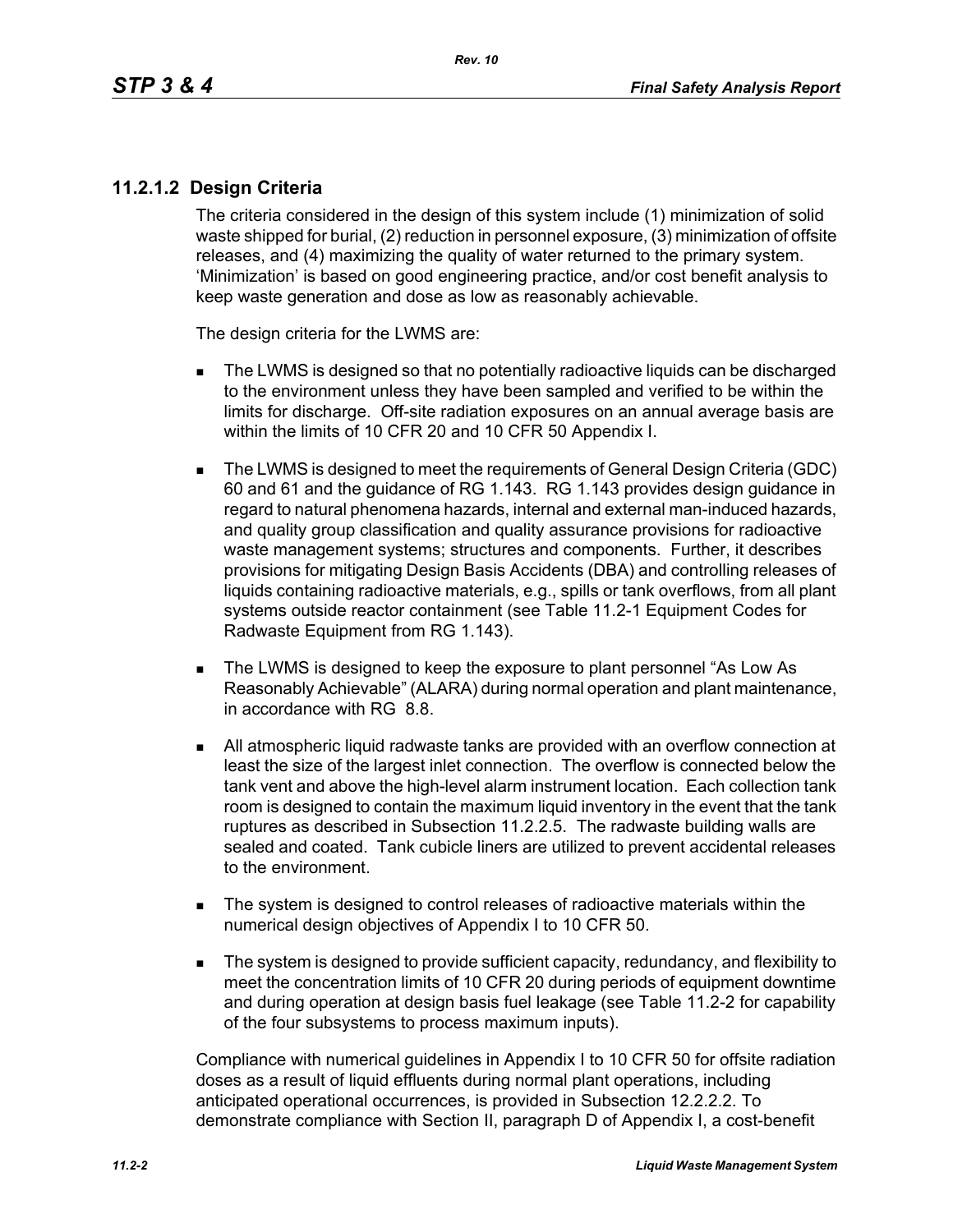#### **11.2.1.2 Design Criteria**

The criteria considered in the design of this system include (1) minimization of solid waste shipped for burial, (2) reduction in personnel exposure, (3) minimization of offsite releases, and (4) maximizing the quality of water returned to the primary system. 'Minimization' is based on good engineering practice, and/or cost benefit analysis to keep waste generation and dose as low as reasonably achievable.

The design criteria for the LWMS are:

- The LWMS is designed so that no potentially radioactive liquids can be discharged to the environment unless they have been sampled and verified to be within the limits for discharge. Off-site radiation exposures on an annual average basis are within the limits of 10 CFR 20 and 10 CFR 50 Appendix I.
- The LWMS is designed to meet the requirements of General Design Criteria (GDC) 60 and 61 and the guidance of RG 1.143. RG 1.143 provides design guidance in regard to natural phenomena hazards, internal and external man-induced hazards, and quality group classification and quality assurance provisions for radioactive waste management systems; structures and components. Further, it describes provisions for mitigating Design Basis Accidents (DBA) and controlling releases of liquids containing radioactive materials, e.g., spills or tank overflows, from all plant systems outside reactor containment (see Table 11.2-1 Equipment Codes for Radwaste Equipment from RG 1.143).
- The LWMS is designed to keep the exposure to plant personnel "As Low As Reasonably Achievable" (ALARA) during normal operation and plant maintenance, in accordance with RG 8.8.
- All atmospheric liquid radwaste tanks are provided with an overflow connection at least the size of the largest inlet connection. The overflow is connected below the tank vent and above the high-level alarm instrument location. Each collection tank room is designed to contain the maximum liquid inventory in the event that the tank ruptures as described in Subsection 11.2.2.5. The radwaste building walls are sealed and coated. Tank cubicle liners are utilized to prevent accidental releases to the environment.
- The system is designed to control releases of radioactive materials within the numerical design objectives of Appendix I to 10 CFR 50.
- The system is designed to provide sufficient capacity, redundancy, and flexibility to meet the concentration limits of 10 CFR 20 during periods of equipment downtime and during operation at design basis fuel leakage (see Table 11.2-2 for capability of the four subsystems to process maximum inputs).

Compliance with numerical guidelines in Appendix I to 10 CFR 50 for offsite radiation doses as a result of liquid effluents during normal plant operations, including anticipated operational occurrences, is provided in Subsection 12.2.2.2. To demonstrate compliance with Section II, paragraph D of Appendix I, a cost-benefit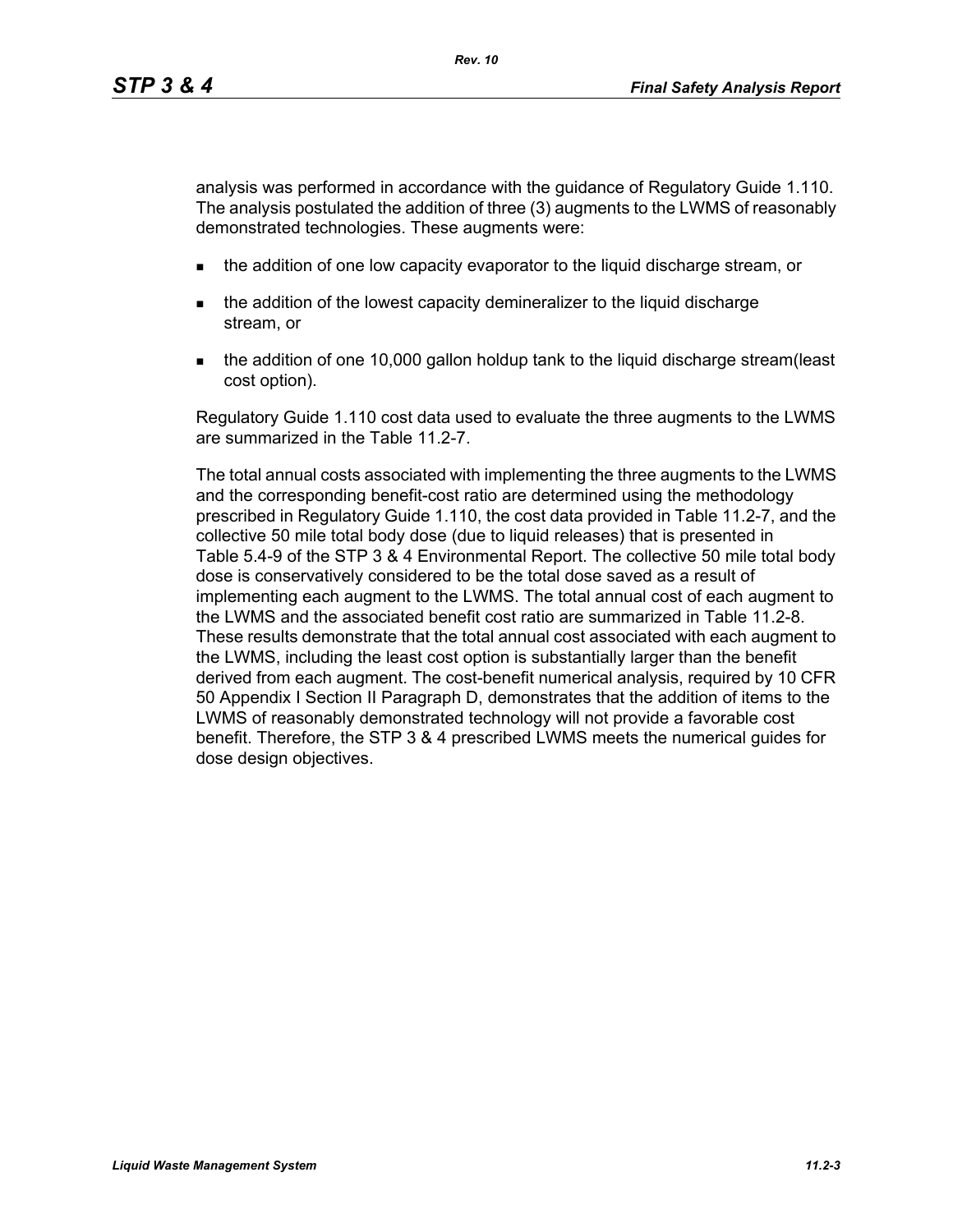analysis was performed in accordance with the guidance of Regulatory Guide 1.110. The analysis postulated the addition of three (3) augments to the LWMS of reasonably demonstrated technologies. These augments were:

- **the addition of one low capacity evaporator to the liquid discharge stream, or**
- the addition of the lowest capacity demineralizer to the liquid discharge stream, or
- the addition of one 10,000 gallon holdup tank to the liquid discharge stream(least cost option).

Regulatory Guide 1.110 cost data used to evaluate the three augments to the LWMS are summarized in the Table 11.2-7.

The total annual costs associated with implementing the three augments to the LWMS and the corresponding benefit-cost ratio are determined using the methodology prescribed in Regulatory Guide 1.110, the cost data provided in Table 11.2-7, and the collective 50 mile total body dose (due to liquid releases) that is presented in Table 5.4-9 of the STP 3 & 4 Environmental Report. The collective 50 mile total body dose is conservatively considered to be the total dose saved as a result of implementing each augment to the LWMS. The total annual cost of each augment to the LWMS and the associated benefit cost ratio are summarized in Table 11.2-8. These results demonstrate that the total annual cost associated with each augment to the LWMS, including the least cost option is substantially larger than the benefit derived from each augment. The cost-benefit numerical analysis, required by 10 CFR 50 Appendix I Section II Paragraph D, demonstrates that the addition of items to the LWMS of reasonably demonstrated technology will not provide a favorable cost benefit. Therefore, the STP 3 & 4 prescribed LWMS meets the numerical guides for dose design objectives.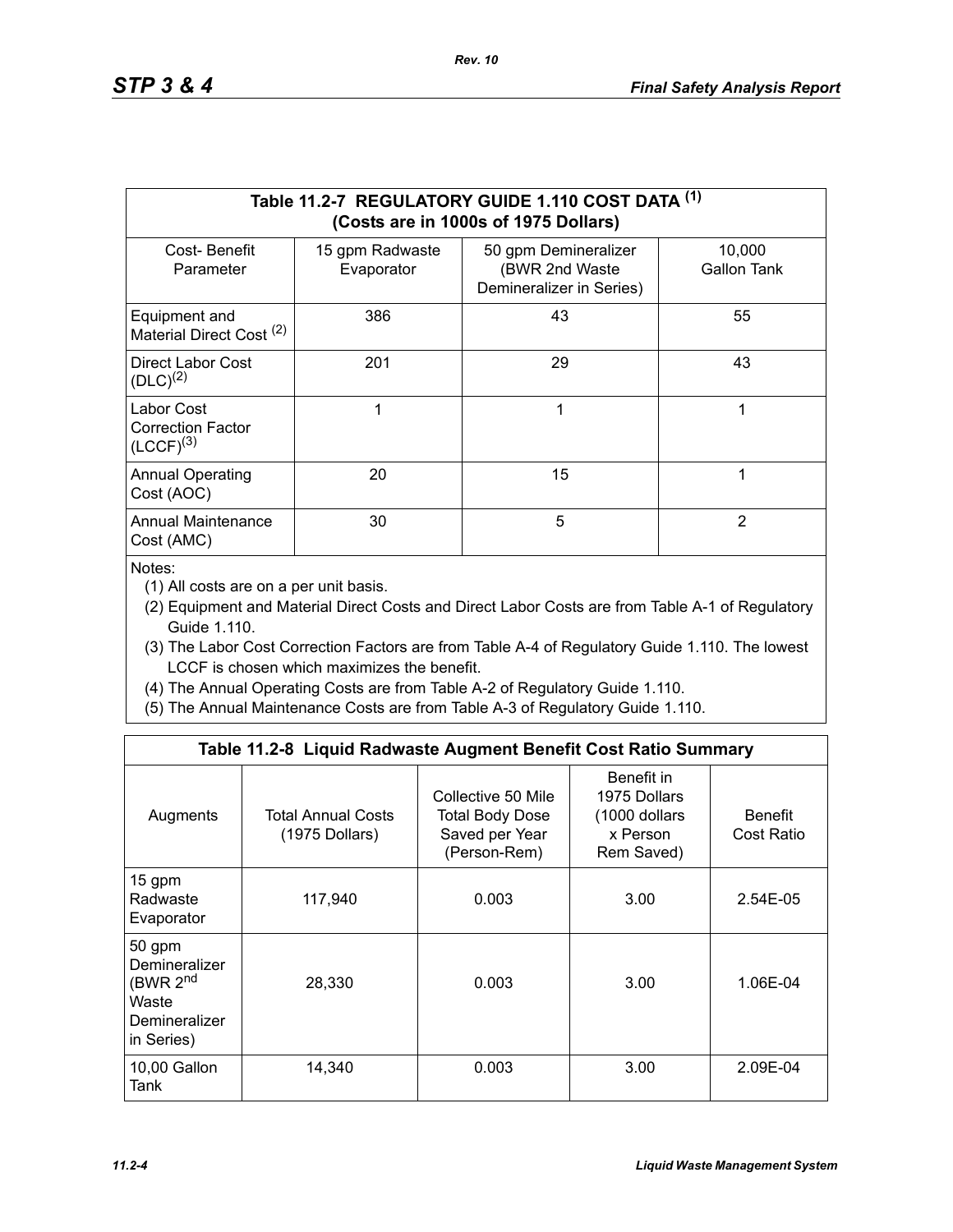|                                                          |                               | Table 11.2-7 REGULATORY GUIDE 1.110 COST DATA (1)<br>(Costs are in 1000s of 1975 Dollars) |                       |
|----------------------------------------------------------|-------------------------------|-------------------------------------------------------------------------------------------|-----------------------|
| Cost-Benefit<br>Parameter                                | 15 gpm Radwaste<br>Evaporator | 50 gpm Demineralizer<br>(BWR 2nd Waste<br>Demineralizer in Series)                        | 10,000<br>Gallon Tank |
| Equipment and<br>Material Direct Cost <sup>(2)</sup>     | 386                           | 43                                                                                        | 55                    |
| Direct Labor Cost<br>$(DLC)^{(2)}$                       | 201                           | 29                                                                                        | 43                    |
| Labor Cost<br><b>Correction Factor</b><br>$(LCCF)^{(3)}$ |                               | 1                                                                                         | 1                     |
| <b>Annual Operating</b><br>Cost (AOC)                    | 20                            | 15                                                                                        | 1                     |
| <b>Annual Maintenance</b><br>Cost (AMC)                  | 30                            | 5                                                                                         | 2                     |

Notes:

(1) All costs are on a per unit basis.

- (2) Equipment and Material Direct Costs and Direct Labor Costs are from Table A-1 of Regulatory Guide 1.110.
- (3) The Labor Cost Correction Factors are from Table A-4 of Regulatory Guide 1.110. The lowest LCCF is chosen which maximizes the benefit.
- (4) The Annual Operating Costs are from Table A-2 of Regulatory Guide 1.110.
- (5) The Annual Maintenance Costs are from Table A-3 of Regulatory Guide 1.110.

|                                                                                         | Table 11.2-8 Liquid Radwaste Augment Benefit Cost Ratio Summary |                                                                         |                                                                       |                              |
|-----------------------------------------------------------------------------------------|-----------------------------------------------------------------|-------------------------------------------------------------------------|-----------------------------------------------------------------------|------------------------------|
| Augments                                                                                | <b>Total Annual Costs</b><br>(1975 Dollars)                     | Collective 50 Mile<br>Total Body Dose<br>Saved per Year<br>(Person-Rem) | Benefit in<br>1975 Dollars<br>(1000 dollars<br>x Person<br>Rem Saved) | <b>Benefit</b><br>Cost Ratio |
| 15 gpm<br>Radwaste<br>Evaporator                                                        | 117,940                                                         | 0.003                                                                   | 3.00                                                                  | 2.54E-05                     |
| 50 gpm<br>Demineralizer<br>(BWR 2 <sup>nd</sup><br>Waste<br>Demineralizer<br>in Series) | 28,330                                                          | 0.003                                                                   | 3.00                                                                  | 1.06E-04                     |
| 10,00 Gallon<br>Tank                                                                    | 14,340                                                          | 0.003                                                                   | 3.00                                                                  | 2.09E-04                     |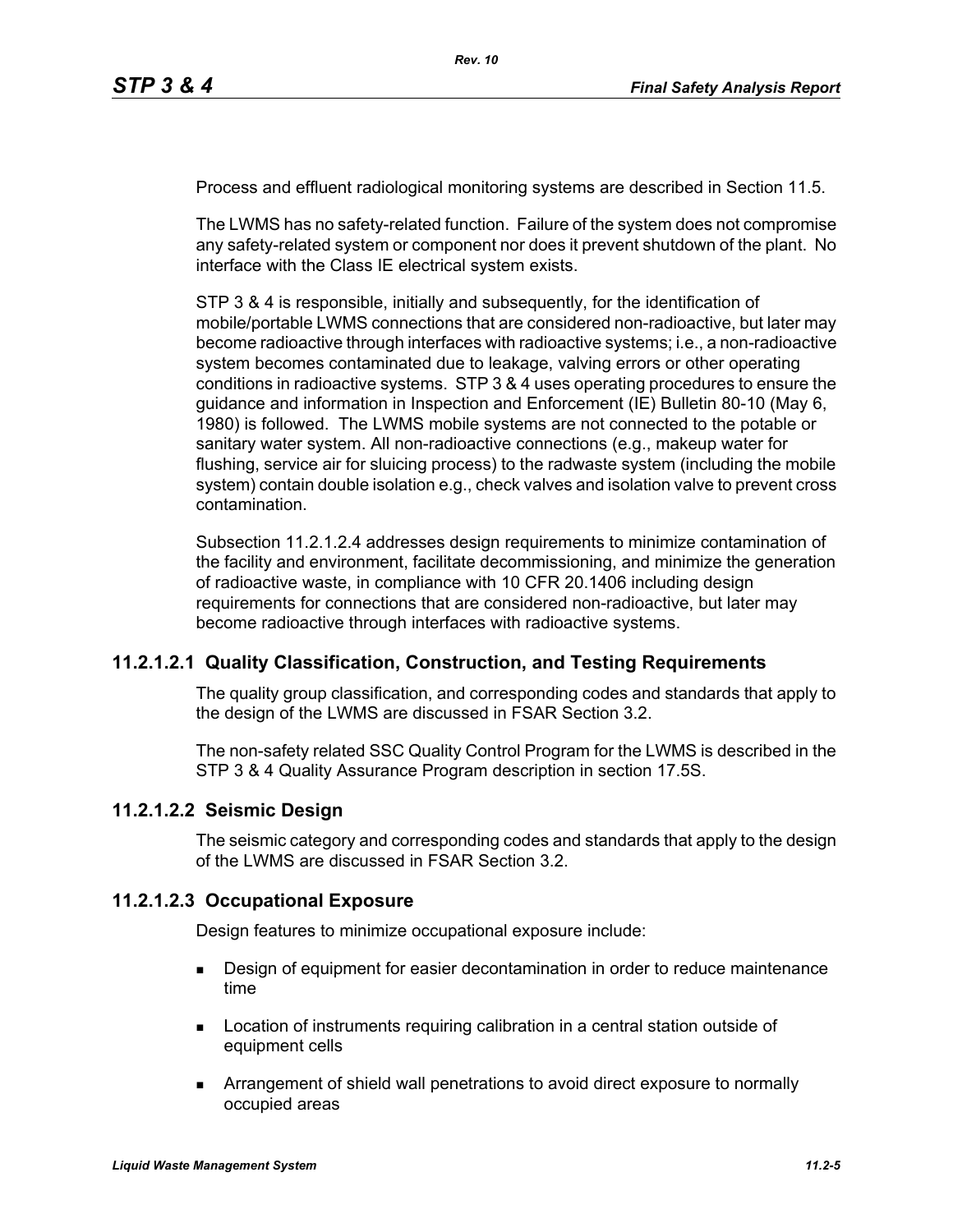Process and effluent radiological monitoring systems are described in Section 11.5.

The LWMS has no safety-related function. Failure of the system does not compromise any safety-related system or component nor does it prevent shutdown of the plant. No interface with the Class IE electrical system exists.

STP 3 & 4 is responsible, initially and subsequently, for the identification of mobile/portable LWMS connections that are considered non-radioactive, but later may become radioactive through interfaces with radioactive systems; i.e., a non-radioactive system becomes contaminated due to leakage, valving errors or other operating conditions in radioactive systems. STP 3 & 4 uses operating procedures to ensure the guidance and information in Inspection and Enforcement (IE) Bulletin 80-10 (May 6, 1980) is followed. The LWMS mobile systems are not connected to the potable or sanitary water system. All non-radioactive connections (e.g., makeup water for flushing, service air for sluicing process) to the radwaste system (including the mobile system) contain double isolation e.g., check valves and isolation valve to prevent cross contamination.

Subsection 11.2.1.2.4 addresses design requirements to minimize contamination of the facility and environment, facilitate decommissioning, and minimize the generation of radioactive waste, in compliance with 10 CFR 20.1406 including design requirements for connections that are considered non-radioactive, but later may become radioactive through interfaces with radioactive systems.

#### **11.2.1.2.1 Quality Classification, Construction, and Testing Requirements**

The quality group classification, and corresponding codes and standards that apply to the design of the LWMS are discussed in FSAR Section 3.2.

The non-safety related SSC Quality Control Program for the LWMS is described in the STP 3 & 4 Quality Assurance Program description in section 17.5S.

#### **11.2.1.2.2 Seismic Design**

The seismic category and corresponding codes and standards that apply to the design of the LWMS are discussed in FSAR Section 3.2.

#### **11.2.1.2.3 Occupational Exposure**

Design features to minimize occupational exposure include:

- **Design of equipment for easier decontamination in order to reduce maintenance** time
- **Location of instruments requiring calibration in a central station outside of** equipment cells
- Arrangement of shield wall penetrations to avoid direct exposure to normally occupied areas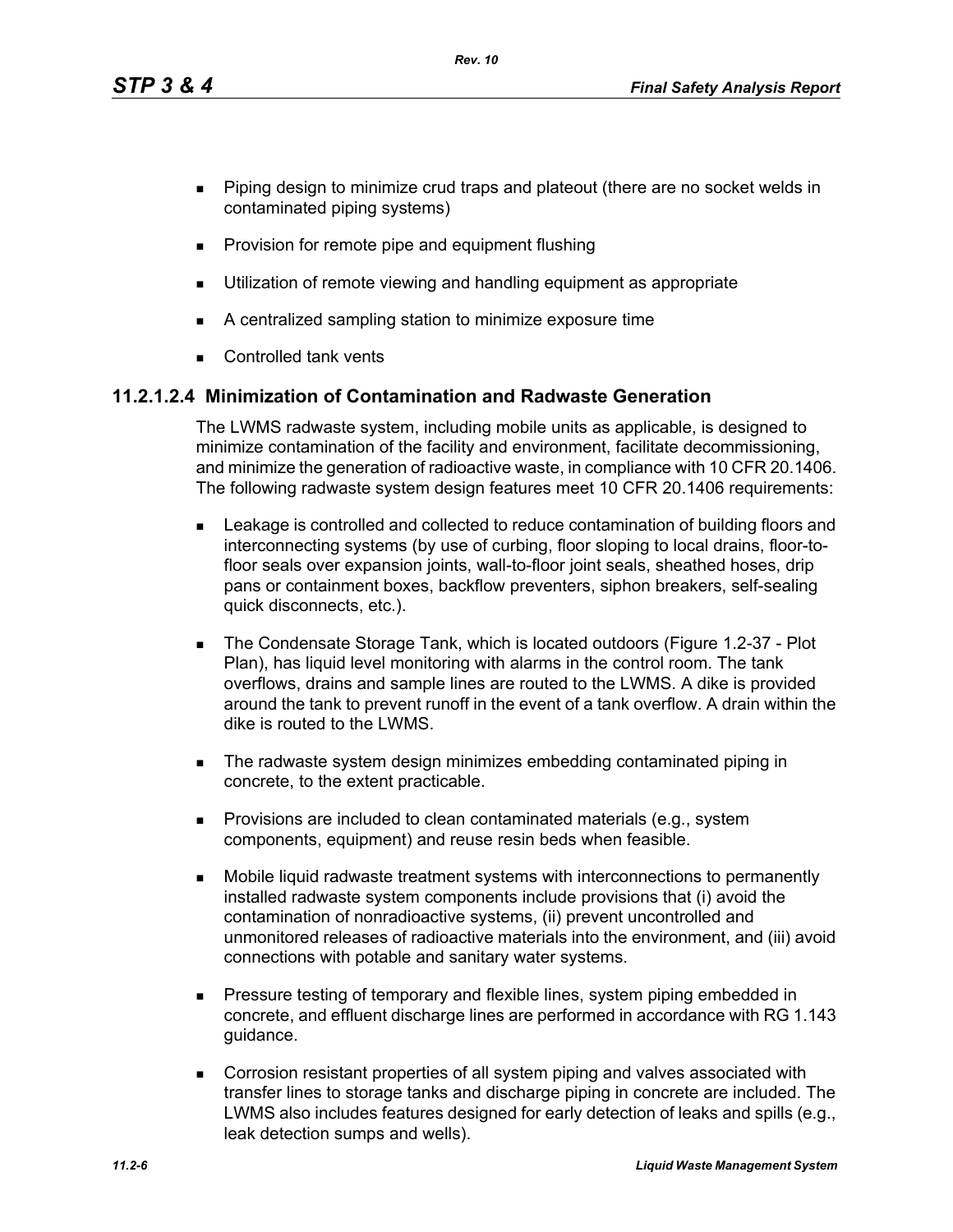*Rev. 10*

- **Piping design to minimize crud traps and plateout (there are no socket welds in** contaminated piping systems)
- **Provision for remote pipe and equipment flushing**
- **Utilization of remote viewing and handling equipment as appropriate**
- A centralized sampling station to minimize exposure time
- **Controlled tank vents**

## **11.2.1.2.4 Minimization of Contamination and Radwaste Generation**

The LWMS radwaste system, including mobile units as applicable, is designed to minimize contamination of the facility and environment, facilitate decommissioning, and minimize the generation of radioactive waste, in compliance with 10 CFR 20.1406. The following radwaste system design features meet 10 CFR 20.1406 requirements:

- Leakage is controlled and collected to reduce contamination of building floors and interconnecting systems (by use of curbing, floor sloping to local drains, floor-tofloor seals over expansion joints, wall-to-floor joint seals, sheathed hoses, drip pans or containment boxes, backflow preventers, siphon breakers, self-sealing quick disconnects, etc.).
- The Condensate Storage Tank, which is located outdoors (Figure 1.2-37 Plot Plan), has liquid level monitoring with alarms in the control room. The tank overflows, drains and sample lines are routed to the LWMS. A dike is provided around the tank to prevent runoff in the event of a tank overflow. A drain within the dike is routed to the LWMS.
- The radwaste system design minimizes embedding contaminated piping in concrete, to the extent practicable.
- **Provisions are included to clean contaminated materials (e.g., system** components, equipment) and reuse resin beds when feasible.
- Mobile liquid radwaste treatment systems with interconnections to permanently installed radwaste system components include provisions that (i) avoid the contamination of nonradioactive systems, (ii) prevent uncontrolled and unmonitored releases of radioactive materials into the environment, and (iii) avoid connections with potable and sanitary water systems.
- **Pressure testing of temporary and flexible lines, system piping embedded in** concrete, and effluent discharge lines are performed in accordance with RG 1.143 guidance.
- Corrosion resistant properties of all system piping and valves associated with transfer lines to storage tanks and discharge piping in concrete are included. The LWMS also includes features designed for early detection of leaks and spills (e.g., leak detection sumps and wells).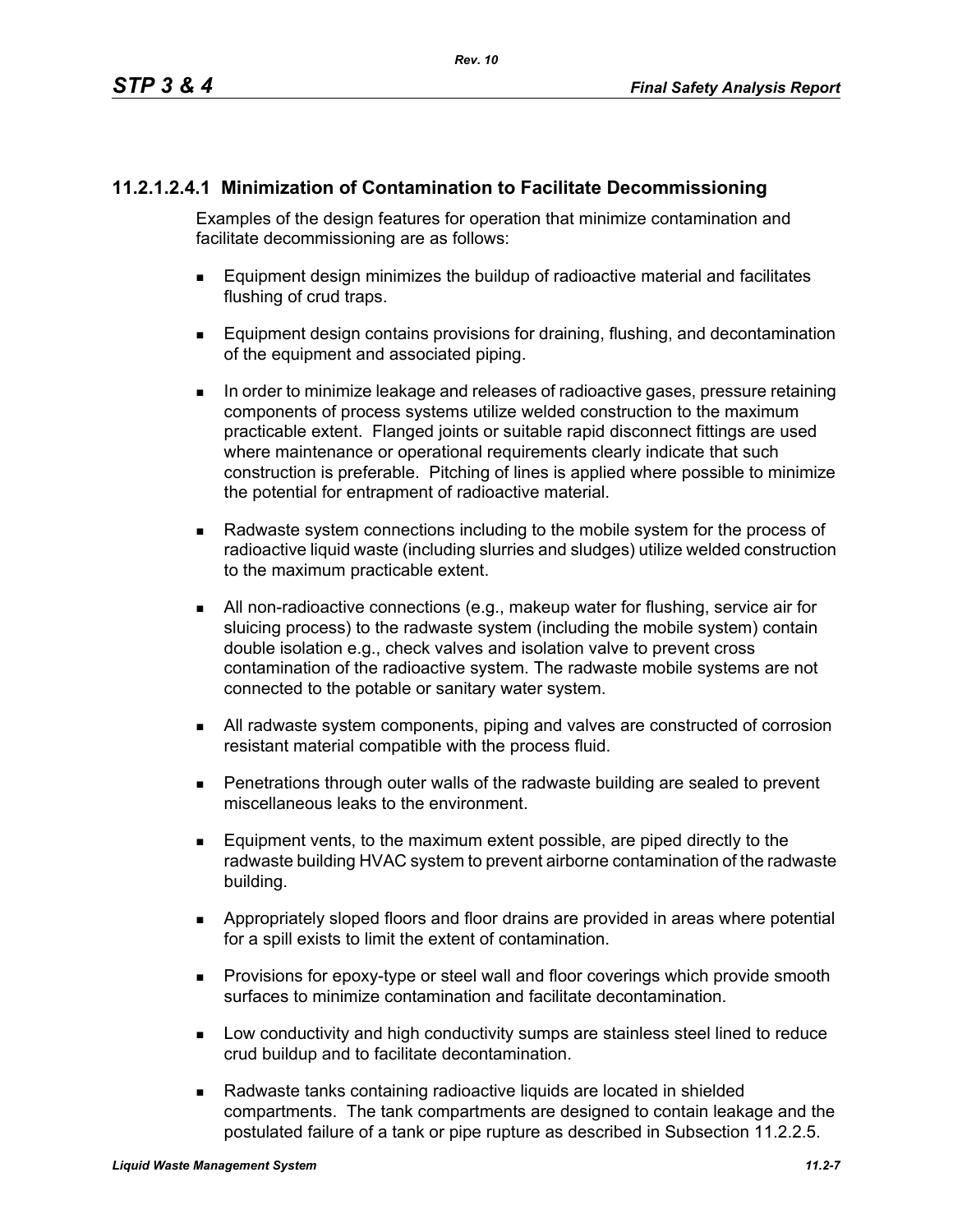## **11.2.1.2.4.1 Minimization of Contamination to Facilitate Decommissioning**

Examples of the design features for operation that minimize contamination and facilitate decommissioning are as follows:

- Equipment design minimizes the buildup of radioactive material and facilitates flushing of crud traps.
- **Equipment design contains provisions for draining, flushing, and decontamination** of the equipment and associated piping.
- In order to minimize leakage and releases of radioactive gases, pressure retaining components of process systems utilize welded construction to the maximum practicable extent. Flanged joints or suitable rapid disconnect fittings are used where maintenance or operational requirements clearly indicate that such construction is preferable. Pitching of lines is applied where possible to minimize the potential for entrapment of radioactive material.
- Radwaste system connections including to the mobile system for the process of radioactive liquid waste (including slurries and sludges) utilize welded construction to the maximum practicable extent.
- All non-radioactive connections (e.g., makeup water for flushing, service air for sluicing process) to the radwaste system (including the mobile system) contain double isolation e.g., check valves and isolation valve to prevent cross contamination of the radioactive system. The radwaste mobile systems are not connected to the potable or sanitary water system.
- All radwaste system components, piping and valves are constructed of corrosion resistant material compatible with the process fluid.
- Penetrations through outer walls of the radwaste building are sealed to prevent miscellaneous leaks to the environment.
- Equipment vents, to the maximum extent possible, are piped directly to the radwaste building HVAC system to prevent airborne contamination of the radwaste building.
- Appropriately sloped floors and floor drains are provided in areas where potential for a spill exists to limit the extent of contamination.
- **Provisions for epoxy-type or steel wall and floor coverings which provide smooth** surfaces to minimize contamination and facilitate decontamination.
- **Low conductivity and high conductivity sumps are stainless steel lined to reduce** crud buildup and to facilitate decontamination.
- Radwaste tanks containing radioactive liquids are located in shielded compartments. The tank compartments are designed to contain leakage and the postulated failure of a tank or pipe rupture as described in Subsection 11.2.2.5.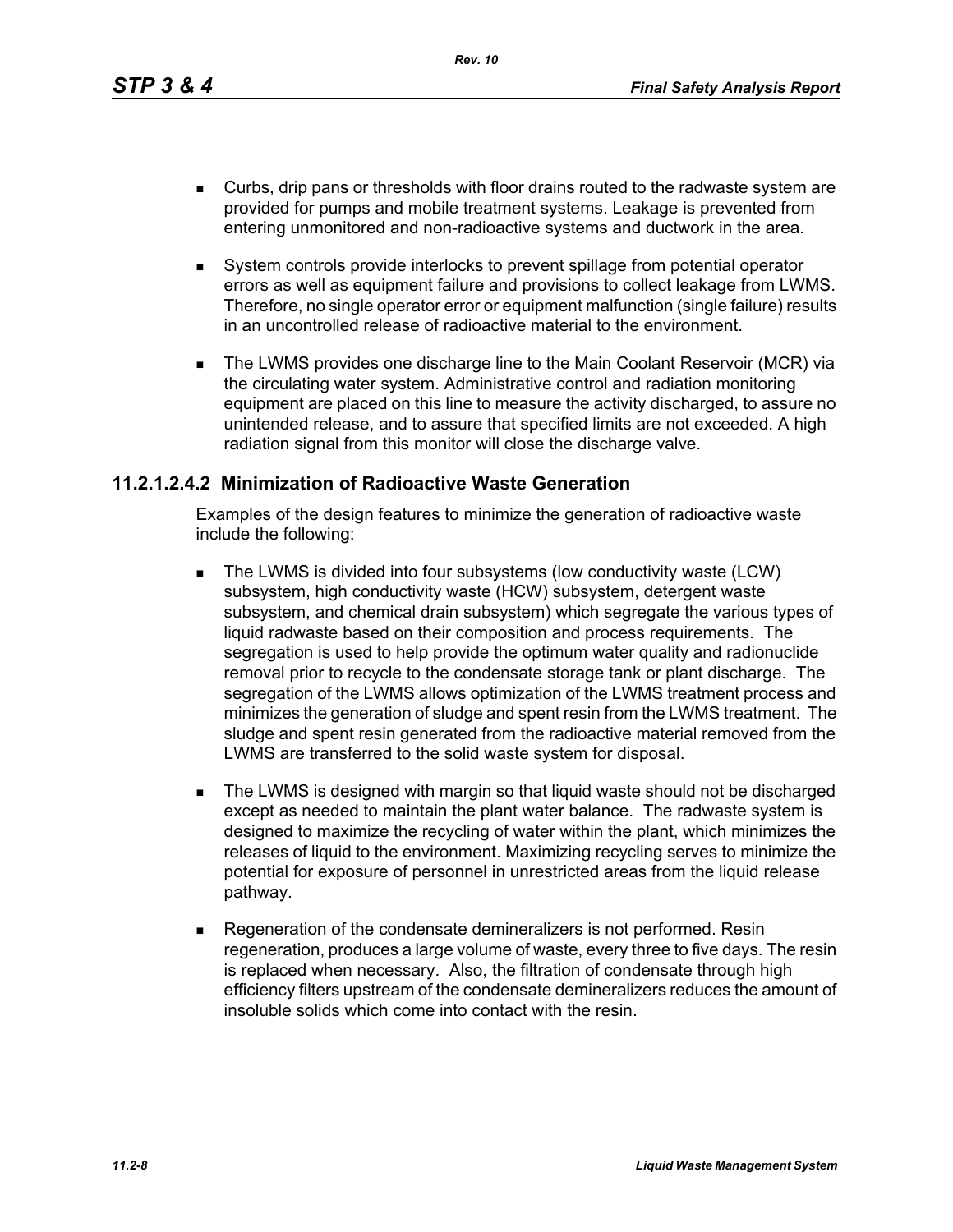*Rev. 10*

- Curbs, drip pans or thresholds with floor drains routed to the radwaste system are provided for pumps and mobile treatment systems. Leakage is prevented from entering unmonitored and non-radioactive systems and ductwork in the area.
- System controls provide interlocks to prevent spillage from potential operator errors as well as equipment failure and provisions to collect leakage from LWMS. Therefore, no single operator error or equipment malfunction (single failure) results in an uncontrolled release of radioactive material to the environment.
- The LWMS provides one discharge line to the Main Coolant Reservoir (MCR) via the circulating water system. Administrative control and radiation monitoring equipment are placed on this line to measure the activity discharged, to assure no unintended release, and to assure that specified limits are not exceeded. A high radiation signal from this monitor will close the discharge valve.

#### **11.2.1.2.4.2 Minimization of Radioactive Waste Generation**

Examples of the design features to minimize the generation of radioactive waste include the following:

- The LWMS is divided into four subsystems (low conductivity waste (LCW) subsystem, high conductivity waste (HCW) subsystem, detergent waste subsystem, and chemical drain subsystem) which segregate the various types of liquid radwaste based on their composition and process requirements. The segregation is used to help provide the optimum water quality and radionuclide removal prior to recycle to the condensate storage tank or plant discharge. The segregation of the LWMS allows optimization of the LWMS treatment process and minimizes the generation of sludge and spent resin from the LWMS treatment. The sludge and spent resin generated from the radioactive material removed from the LWMS are transferred to the solid waste system for disposal.
- **The LWMS is designed with margin so that liquid waste should not be discharged** except as needed to maintain the plant water balance. The radwaste system is designed to maximize the recycling of water within the plant, which minimizes the releases of liquid to the environment. Maximizing recycling serves to minimize the potential for exposure of personnel in unrestricted areas from the liquid release pathway.
- Regeneration of the condensate demineralizers is not performed. Resin regeneration, produces a large volume of waste, every three to five days. The resin is replaced when necessary. Also, the filtration of condensate through high efficiency filters upstream of the condensate demineralizers reduces the amount of insoluble solids which come into contact with the resin.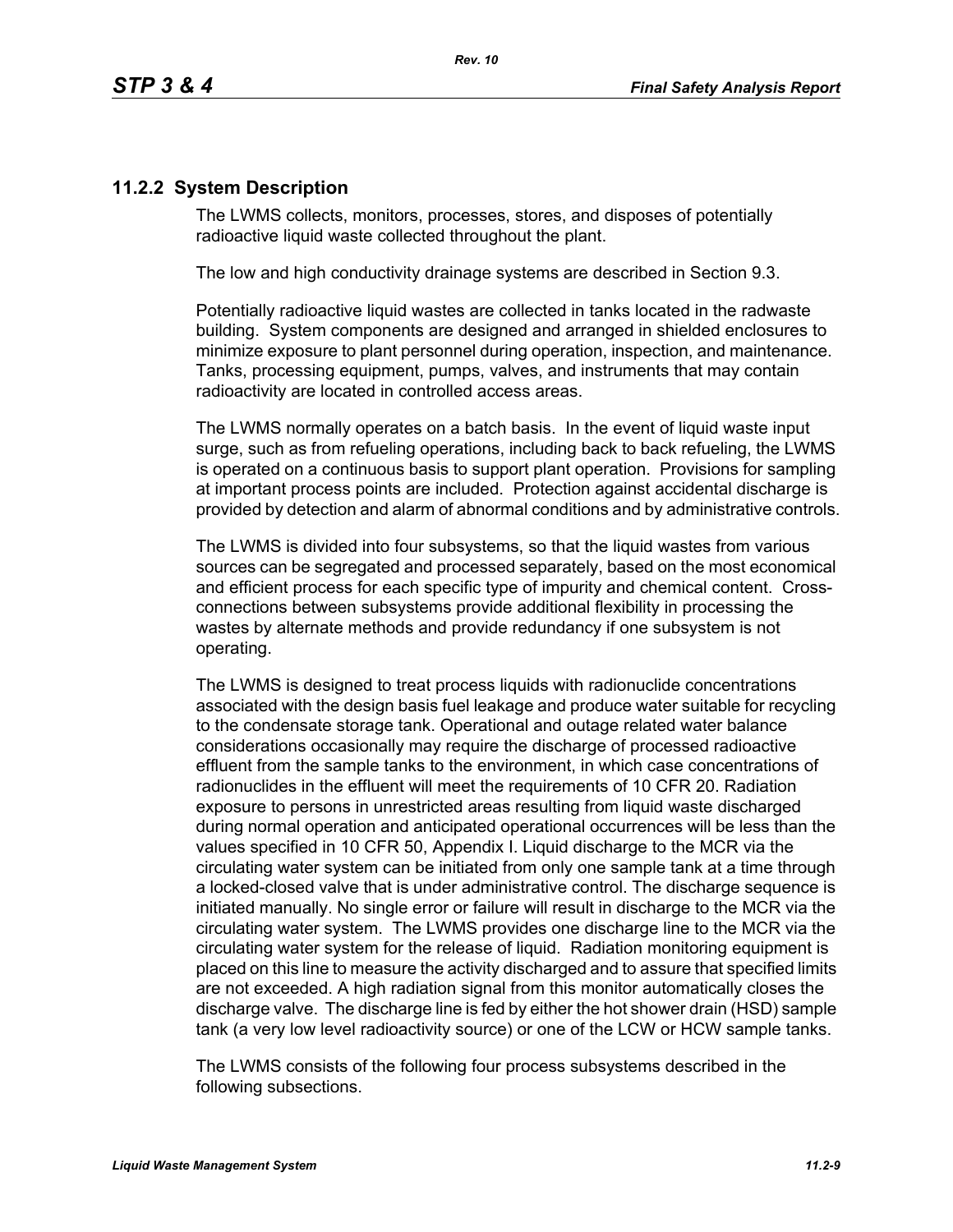### **11.2.2 System Description**

The LWMS collects, monitors, processes, stores, and disposes of potentially radioactive liquid waste collected throughout the plant.

The low and high conductivity drainage systems are described in Section 9.3.

Potentially radioactive liquid wastes are collected in tanks located in the radwaste building. System components are designed and arranged in shielded enclosures to minimize exposure to plant personnel during operation, inspection, and maintenance. Tanks, processing equipment, pumps, valves, and instruments that may contain radioactivity are located in controlled access areas.

The LWMS normally operates on a batch basis. In the event of liquid waste input surge, such as from refueling operations, including back to back refueling, the LWMS is operated on a continuous basis to support plant operation. Provisions for sampling at important process points are included. Protection against accidental discharge is provided by detection and alarm of abnormal conditions and by administrative controls.

The LWMS is divided into four subsystems, so that the liquid wastes from various sources can be segregated and processed separately, based on the most economical and efficient process for each specific type of impurity and chemical content. Crossconnections between subsystems provide additional flexibility in processing the wastes by alternate methods and provide redundancy if one subsystem is not operating.

The LWMS is designed to treat process liquids with radionuclide concentrations associated with the design basis fuel leakage and produce water suitable for recycling to the condensate storage tank. Operational and outage related water balance considerations occasionally may require the discharge of processed radioactive effluent from the sample tanks to the environment, in which case concentrations of radionuclides in the effluent will meet the requirements of 10 CFR 20. Radiation exposure to persons in unrestricted areas resulting from liquid waste discharged during normal operation and anticipated operational occurrences will be less than the values specified in 10 CFR 50, Appendix I. Liquid discharge to the MCR via the circulating water system can be initiated from only one sample tank at a time through a locked-closed valve that is under administrative control. The discharge sequence is initiated manually. No single error or failure will result in discharge to the MCR via the circulating water system. The LWMS provides one discharge line to the MCR via the circulating water system for the release of liquid. Radiation monitoring equipment is placed on this line to measure the activity discharged and to assure that specified limits are not exceeded. A high radiation signal from this monitor automatically closes the discharge valve. The discharge line is fed by either the hot shower drain (HSD) sample tank (a very low level radioactivity source) or one of the LCW or HCW sample tanks.

The LWMS consists of the following four process subsystems described in the following subsections.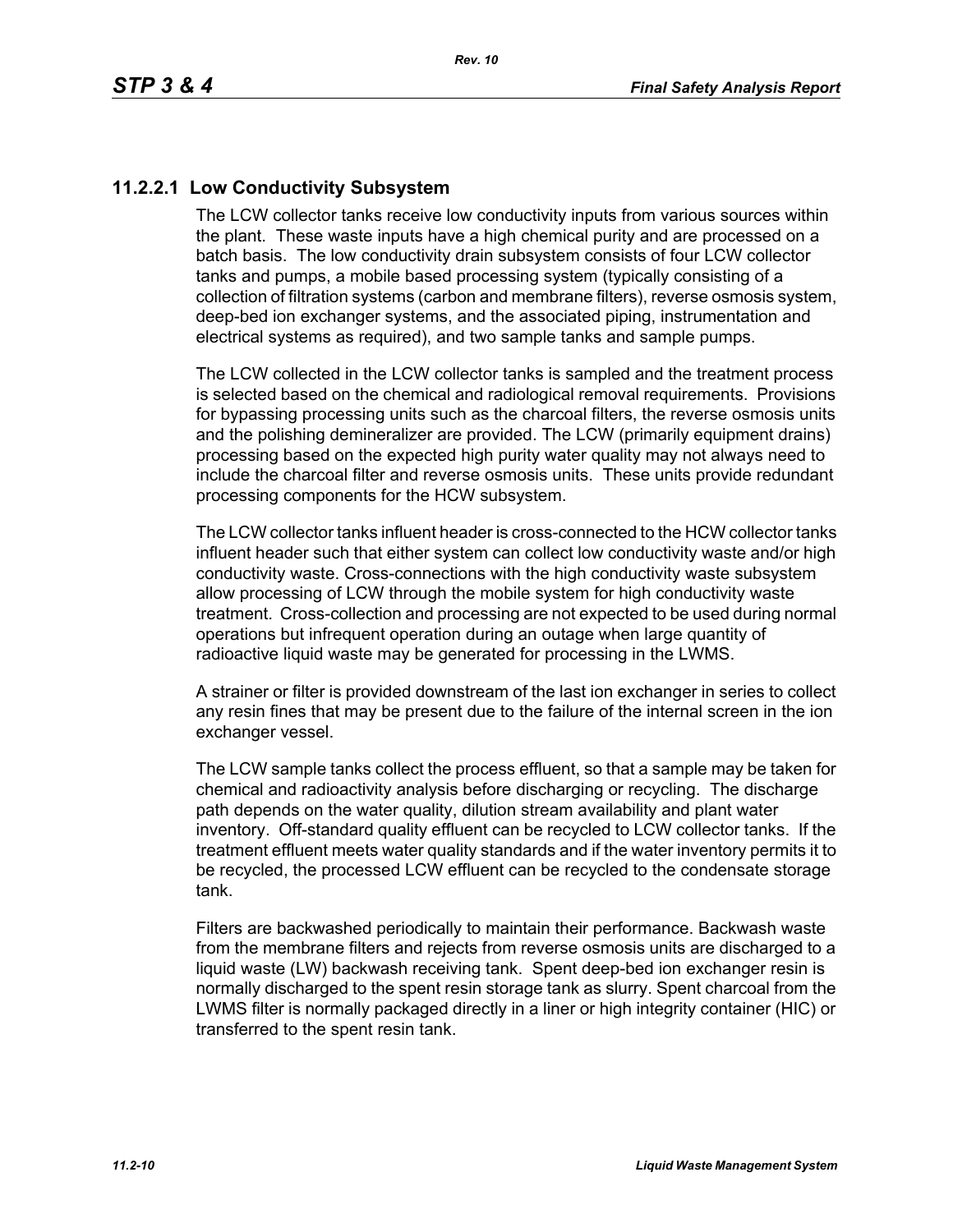### **11.2.2.1 Low Conductivity Subsystem**

The LCW collector tanks receive low conductivity inputs from various sources within the plant. These waste inputs have a high chemical purity and are processed on a batch basis. The low conductivity drain subsystem consists of four LCW collector tanks and pumps, a mobile based processing system (typically consisting of a collection of filtration systems (carbon and membrane filters), reverse osmosis system, deep-bed ion exchanger systems, and the associated piping, instrumentation and electrical systems as required), and two sample tanks and sample pumps.

The LCW collected in the LCW collector tanks is sampled and the treatment process is selected based on the chemical and radiological removal requirements. Provisions for bypassing processing units such as the charcoal filters, the reverse osmosis units and the polishing demineralizer are provided. The LCW (primarily equipment drains) processing based on the expected high purity water quality may not always need to include the charcoal filter and reverse osmosis units. These units provide redundant processing components for the HCW subsystem.

The LCW collector tanks influent header is cross-connected to the HCW collector tanks influent header such that either system can collect low conductivity waste and/or high conductivity waste. Cross-connections with the high conductivity waste subsystem allow processing of LCW through the mobile system for high conductivity waste treatment. Cross-collection and processing are not expected to be used during normal operations but infrequent operation during an outage when large quantity of radioactive liquid waste may be generated for processing in the LWMS.

A strainer or filter is provided downstream of the last ion exchanger in series to collect any resin fines that may be present due to the failure of the internal screen in the ion exchanger vessel.

The LCW sample tanks collect the process effluent, so that a sample may be taken for chemical and radioactivity analysis before discharging or recycling. The discharge path depends on the water quality, dilution stream availability and plant water inventory. Off-standard quality effluent can be recycled to LCW collector tanks. If the treatment effluent meets water quality standards and if the water inventory permits it to be recycled, the processed LCW effluent can be recycled to the condensate storage tank.

Filters are backwashed periodically to maintain their performance. Backwash waste from the membrane filters and rejects from reverse osmosis units are discharged to a liquid waste (LW) backwash receiving tank. Spent deep-bed ion exchanger resin is normally discharged to the spent resin storage tank as slurry. Spent charcoal from the LWMS filter is normally packaged directly in a liner or high integrity container (HIC) or transferred to the spent resin tank.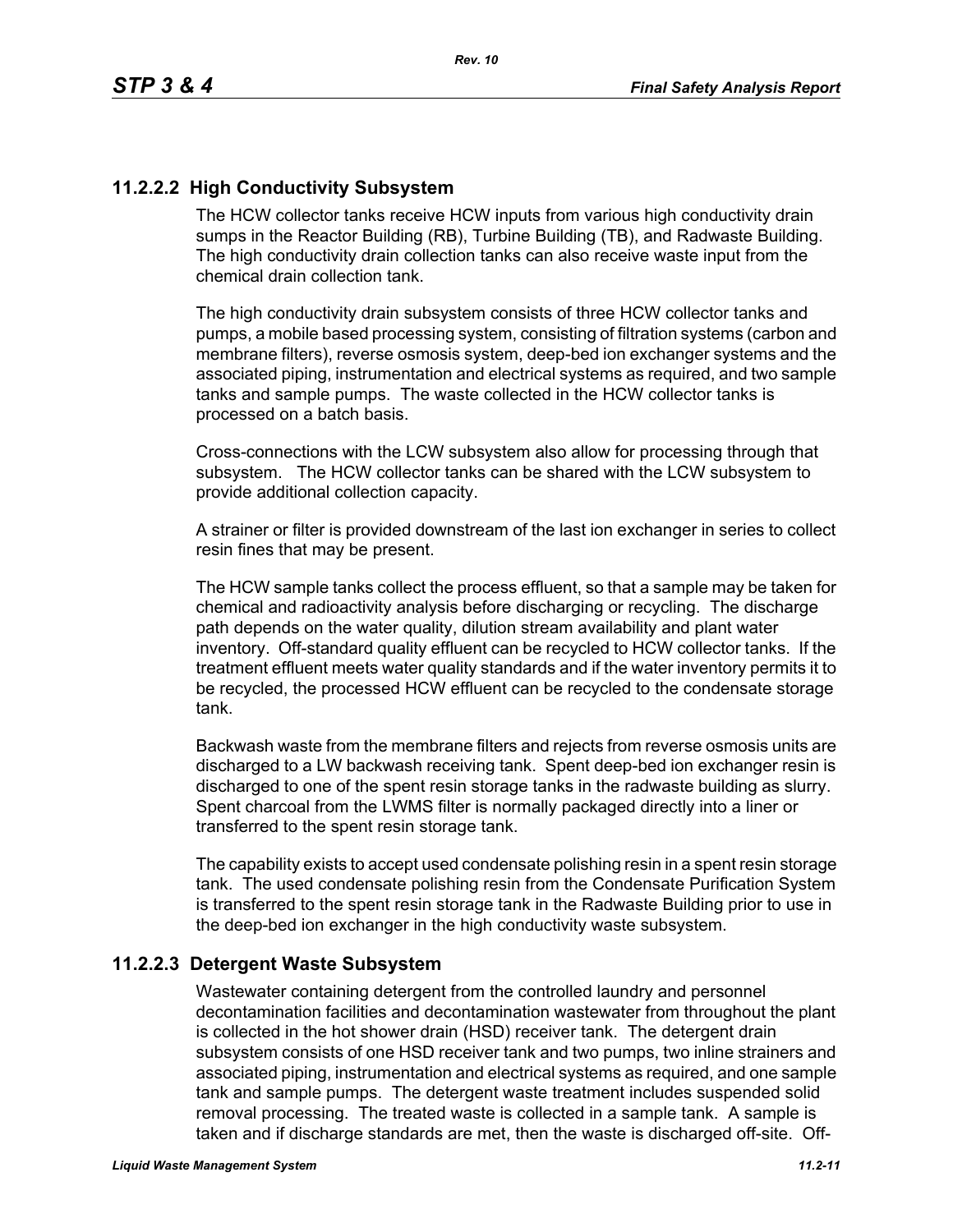### **11.2.2.2 High Conductivity Subsystem**

The HCW collector tanks receive HCW inputs from various high conductivity drain sumps in the Reactor Building (RB), Turbine Building (TB), and Radwaste Building. The high conductivity drain collection tanks can also receive waste input from the chemical drain collection tank.

The high conductivity drain subsystem consists of three HCW collector tanks and pumps, a mobile based processing system, consisting of filtration systems (carbon and membrane filters), reverse osmosis system, deep-bed ion exchanger systems and the associated piping, instrumentation and electrical systems as required, and two sample tanks and sample pumps. The waste collected in the HCW collector tanks is processed on a batch basis.

Cross-connections with the LCW subsystem also allow for processing through that subsystem. The HCW collector tanks can be shared with the LCW subsystem to provide additional collection capacity.

A strainer or filter is provided downstream of the last ion exchanger in series to collect resin fines that may be present.

The HCW sample tanks collect the process effluent, so that a sample may be taken for chemical and radioactivity analysis before discharging or recycling. The discharge path depends on the water quality, dilution stream availability and plant water inventory. Off-standard quality effluent can be recycled to HCW collector tanks. If the treatment effluent meets water quality standards and if the water inventory permits it to be recycled, the processed HCW effluent can be recycled to the condensate storage tank.

Backwash waste from the membrane filters and rejects from reverse osmosis units are discharged to a LW backwash receiving tank. Spent deep-bed ion exchanger resin is discharged to one of the spent resin storage tanks in the radwaste building as slurry. Spent charcoal from the LWMS filter is normally packaged directly into a liner or transferred to the spent resin storage tank.

The capability exists to accept used condensate polishing resin in a spent resin storage tank. The used condensate polishing resin from the Condensate Purification System is transferred to the spent resin storage tank in the Radwaste Building prior to use in the deep-bed ion exchanger in the high conductivity waste subsystem.

#### **11.2.2.3 Detergent Waste Subsystem**

Wastewater containing detergent from the controlled laundry and personnel decontamination facilities and decontamination wastewater from throughout the plant is collected in the hot shower drain (HSD) receiver tank. The detergent drain subsystem consists of one HSD receiver tank and two pumps, two inline strainers and associated piping, instrumentation and electrical systems as required, and one sample tank and sample pumps. The detergent waste treatment includes suspended solid removal processing. The treated waste is collected in a sample tank. A sample is taken and if discharge standards are met, then the waste is discharged off-site. Off-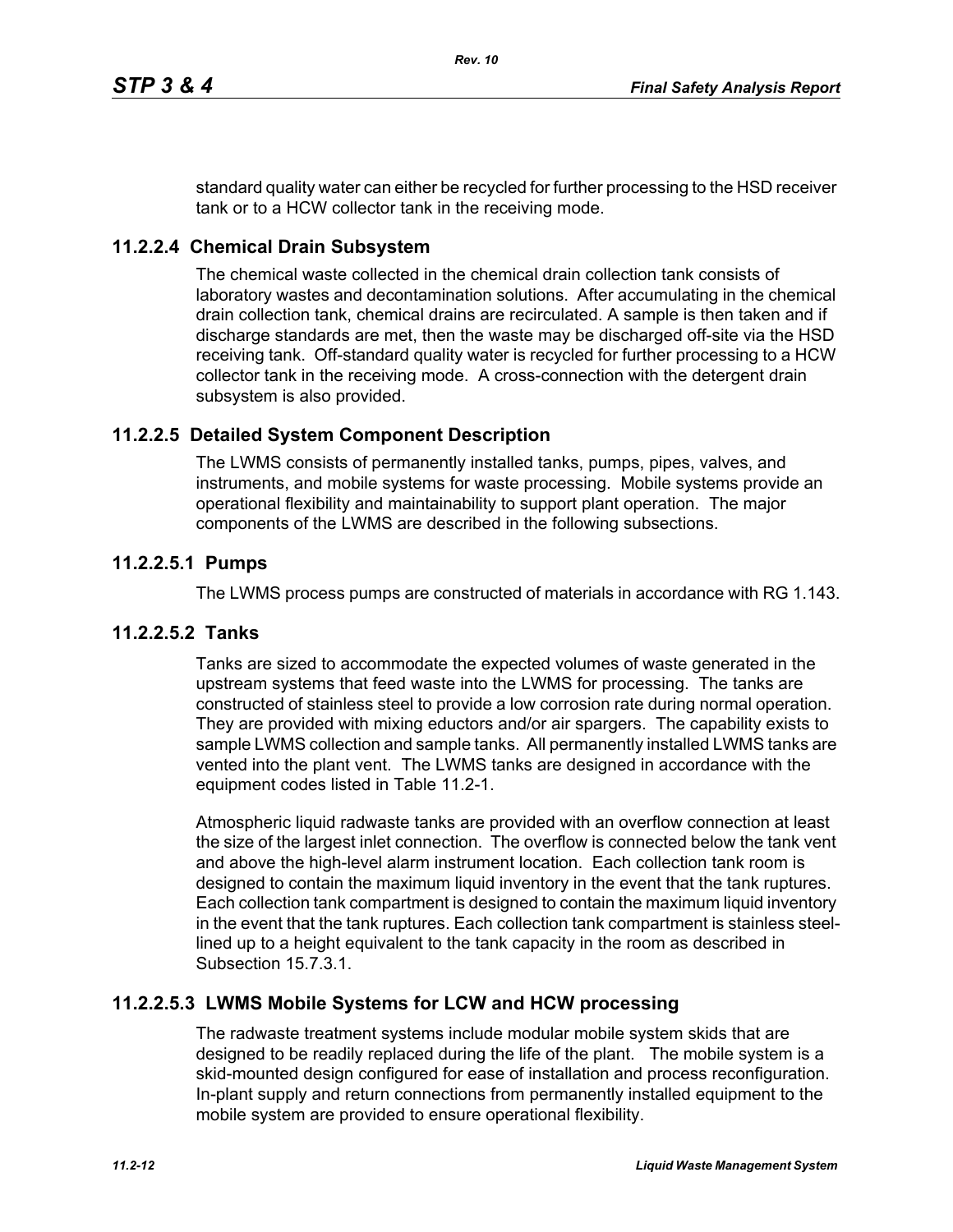standard quality water can either be recycled for further processing to the HSD receiver tank or to a HCW collector tank in the receiving mode.

#### **11.2.2.4 Chemical Drain Subsystem**

The chemical waste collected in the chemical drain collection tank consists of laboratory wastes and decontamination solutions. After accumulating in the chemical drain collection tank, chemical drains are recirculated. A sample is then taken and if discharge standards are met, then the waste may be discharged off-site via the HSD receiving tank. Off-standard quality water is recycled for further processing to a HCW collector tank in the receiving mode. A cross-connection with the detergent drain subsystem is also provided.

#### **11.2.2.5 Detailed System Component Description**

The LWMS consists of permanently installed tanks, pumps, pipes, valves, and instruments, and mobile systems for waste processing. Mobile systems provide an operational flexibility and maintainability to support plant operation. The major components of the LWMS are described in the following subsections.

#### **11.2.2.5.1 Pumps**

The LWMS process pumps are constructed of materials in accordance with RG 1.143.

#### **11.2.2.5.2 Tanks**

Tanks are sized to accommodate the expected volumes of waste generated in the upstream systems that feed waste into the LWMS for processing. The tanks are constructed of stainless steel to provide a low corrosion rate during normal operation. They are provided with mixing eductors and/or air spargers. The capability exists to sample LWMS collection and sample tanks. All permanently installed LWMS tanks are vented into the plant vent. The LWMS tanks are designed in accordance with the equipment codes listed in Table 11.2-1.

Atmospheric liquid radwaste tanks are provided with an overflow connection at least the size of the largest inlet connection. The overflow is connected below the tank vent and above the high-level alarm instrument location. Each collection tank room is designed to contain the maximum liquid inventory in the event that the tank ruptures. Each collection tank compartment is designed to contain the maximum liquid inventory in the event that the tank ruptures. Each collection tank compartment is stainless steellined up to a height equivalent to the tank capacity in the room as described in Subsection 15.7.3.1.

#### **11.2.2.5.3 LWMS Mobile Systems for LCW and HCW processing**

The radwaste treatment systems include modular mobile system skids that are designed to be readily replaced during the life of the plant. The mobile system is a skid-mounted design configured for ease of installation and process reconfiguration. In-plant supply and return connections from permanently installed equipment to the mobile system are provided to ensure operational flexibility.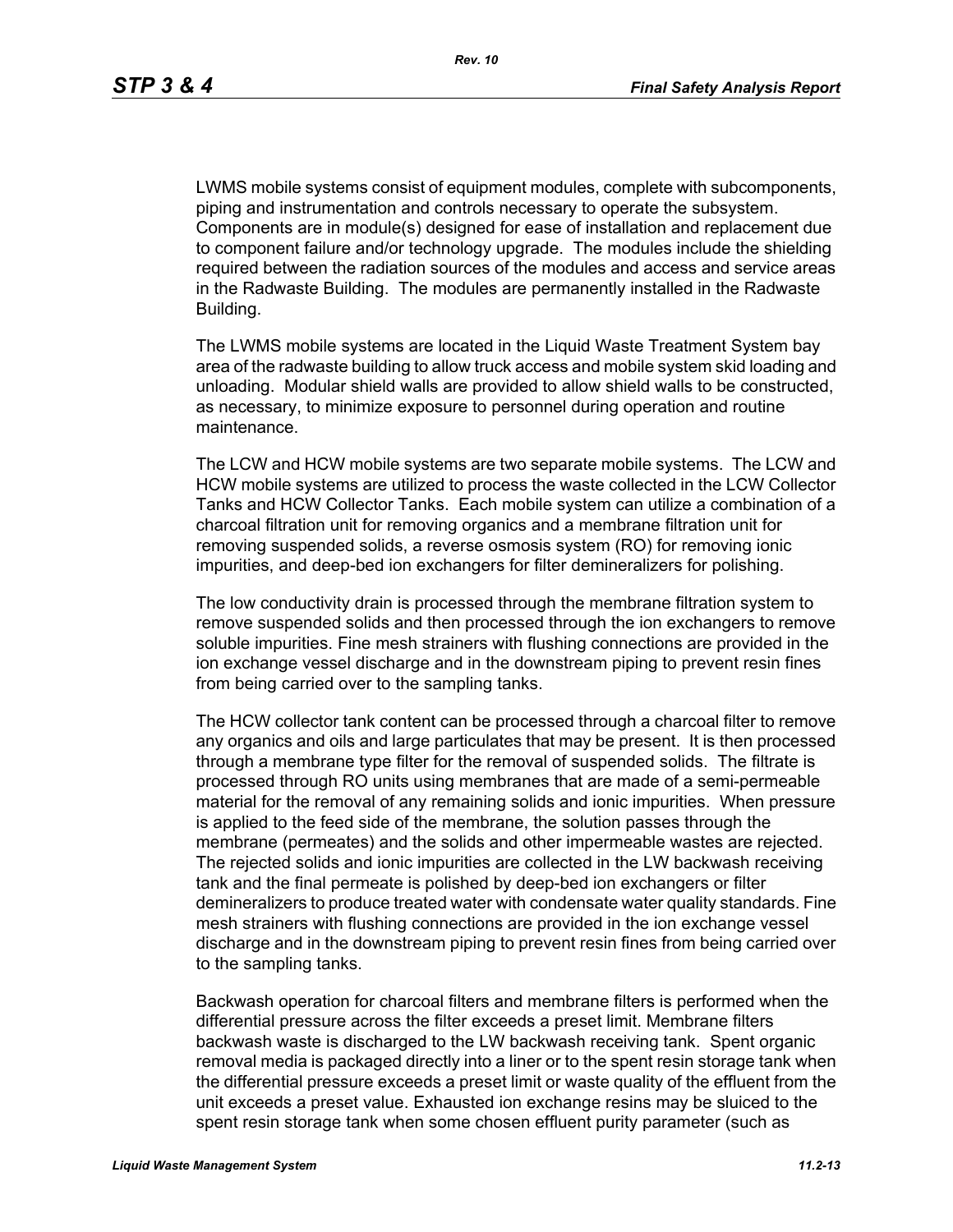LWMS mobile systems consist of equipment modules, complete with subcomponents, piping and instrumentation and controls necessary to operate the subsystem. Components are in module(s) designed for ease of installation and replacement due to component failure and/or technology upgrade. The modules include the shielding required between the radiation sources of the modules and access and service areas in the Radwaste Building. The modules are permanently installed in the Radwaste Building.

The LWMS mobile systems are located in the Liquid Waste Treatment System bay area of the radwaste building to allow truck access and mobile system skid loading and unloading. Modular shield walls are provided to allow shield walls to be constructed, as necessary, to minimize exposure to personnel during operation and routine maintenance.

The LCW and HCW mobile systems are two separate mobile systems. The LCW and HCW mobile systems are utilized to process the waste collected in the LCW Collector Tanks and HCW Collector Tanks. Each mobile system can utilize a combination of a charcoal filtration unit for removing organics and a membrane filtration unit for removing suspended solids, a reverse osmosis system (RO) for removing ionic impurities, and deep-bed ion exchangers for filter demineralizers for polishing.

The low conductivity drain is processed through the membrane filtration system to remove suspended solids and then processed through the ion exchangers to remove soluble impurities. Fine mesh strainers with flushing connections are provided in the ion exchange vessel discharge and in the downstream piping to prevent resin fines from being carried over to the sampling tanks.

The HCW collector tank content can be processed through a charcoal filter to remove any organics and oils and large particulates that may be present. It is then processed through a membrane type filter for the removal of suspended solids. The filtrate is processed through RO units using membranes that are made of a semi-permeable material for the removal of any remaining solids and ionic impurities. When pressure is applied to the feed side of the membrane, the solution passes through the membrane (permeates) and the solids and other impermeable wastes are rejected. The rejected solids and ionic impurities are collected in the LW backwash receiving tank and the final permeate is polished by deep-bed ion exchangers or filter demineralizers to produce treated water with condensate water quality standards. Fine mesh strainers with flushing connections are provided in the ion exchange vessel discharge and in the downstream piping to prevent resin fines from being carried over to the sampling tanks.

Backwash operation for charcoal filters and membrane filters is performed when the differential pressure across the filter exceeds a preset limit. Membrane filters backwash waste is discharged to the LW backwash receiving tank. Spent organic removal media is packaged directly into a liner or to the spent resin storage tank when the differential pressure exceeds a preset limit or waste quality of the effluent from the unit exceeds a preset value. Exhausted ion exchange resins may be sluiced to the spent resin storage tank when some chosen effluent purity parameter (such as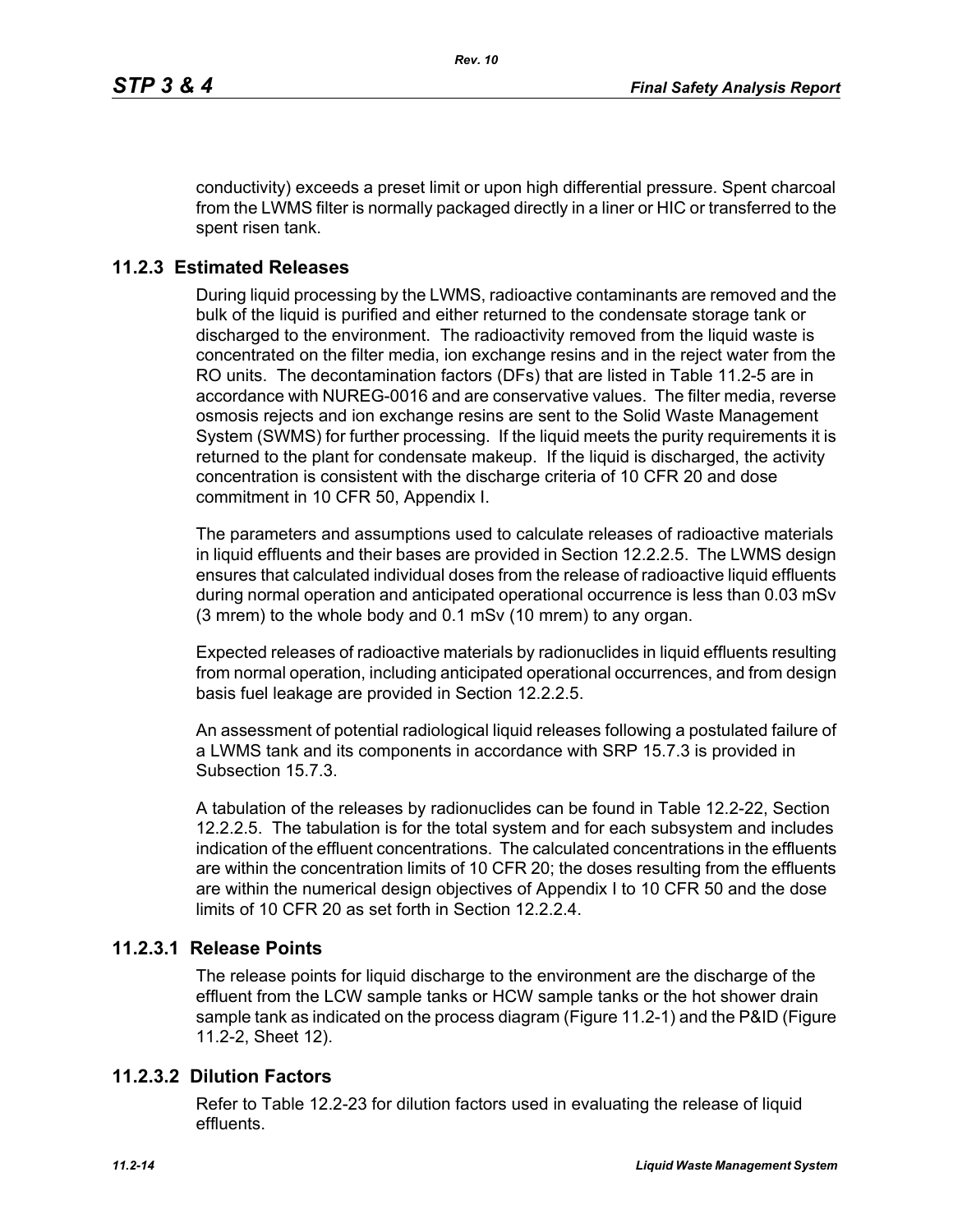conductivity) exceeds a preset limit or upon high differential pressure. Spent charcoal from the LWMS filter is normally packaged directly in a liner or HIC or transferred to the spent risen tank.

#### **11.2.3 Estimated Releases**

During liquid processing by the LWMS, radioactive contaminants are removed and the bulk of the liquid is purified and either returned to the condensate storage tank or discharged to the environment. The radioactivity removed from the liquid waste is concentrated on the filter media, ion exchange resins and in the reject water from the RO units. The decontamination factors (DFs) that are listed in Table 11.2-5 are in accordance with NUREG-0016 and are conservative values. The filter media, reverse osmosis rejects and ion exchange resins are sent to the Solid Waste Management System (SWMS) for further processing. If the liquid meets the purity requirements it is returned to the plant for condensate makeup. If the liquid is discharged, the activity concentration is consistent with the discharge criteria of 10 CFR 20 and dose commitment in 10 CFR 50, Appendix I.

The parameters and assumptions used to calculate releases of radioactive materials in liquid effluents and their bases are provided in Section 12.2.2.5. The LWMS design ensures that calculated individual doses from the release of radioactive liquid effluents during normal operation and anticipated operational occurrence is less than 0.03 mSv (3 mrem) to the whole body and 0.1 mSv (10 mrem) to any organ.

Expected releases of radioactive materials by radionuclides in liquid effluents resulting from normal operation, including anticipated operational occurrences, and from design basis fuel leakage are provided in Section 12.2.2.5.

An assessment of potential radiological liquid releases following a postulated failure of a LWMS tank and its components in accordance with SRP 15.7.3 is provided in Subsection 15.7.3.

A tabulation of the releases by radionuclides can be found in Table 12.2-22, Section 12.2.2.5. The tabulation is for the total system and for each subsystem and includes indication of the effluent concentrations. The calculated concentrations in the effluents are within the concentration limits of 10 CFR 20; the doses resulting from the effluents are within the numerical design objectives of Appendix I to 10 CFR 50 and the dose limits of 10 CFR 20 as set forth in Section 12.2.2.4

#### **11.2.3.1 Release Points**

The release points for liquid discharge to the environment are the discharge of the effluent from the LCW sample tanks or HCW sample tanks or the hot shower drain sample tank as indicated on the process diagram (Figure 11.2-1) and the P&ID (Figure 11.2-2, Sheet 12).

#### **11.2.3.2 Dilution Factors**

Refer to Table 12.2-23 for dilution factors used in evaluating the release of liquid effluents.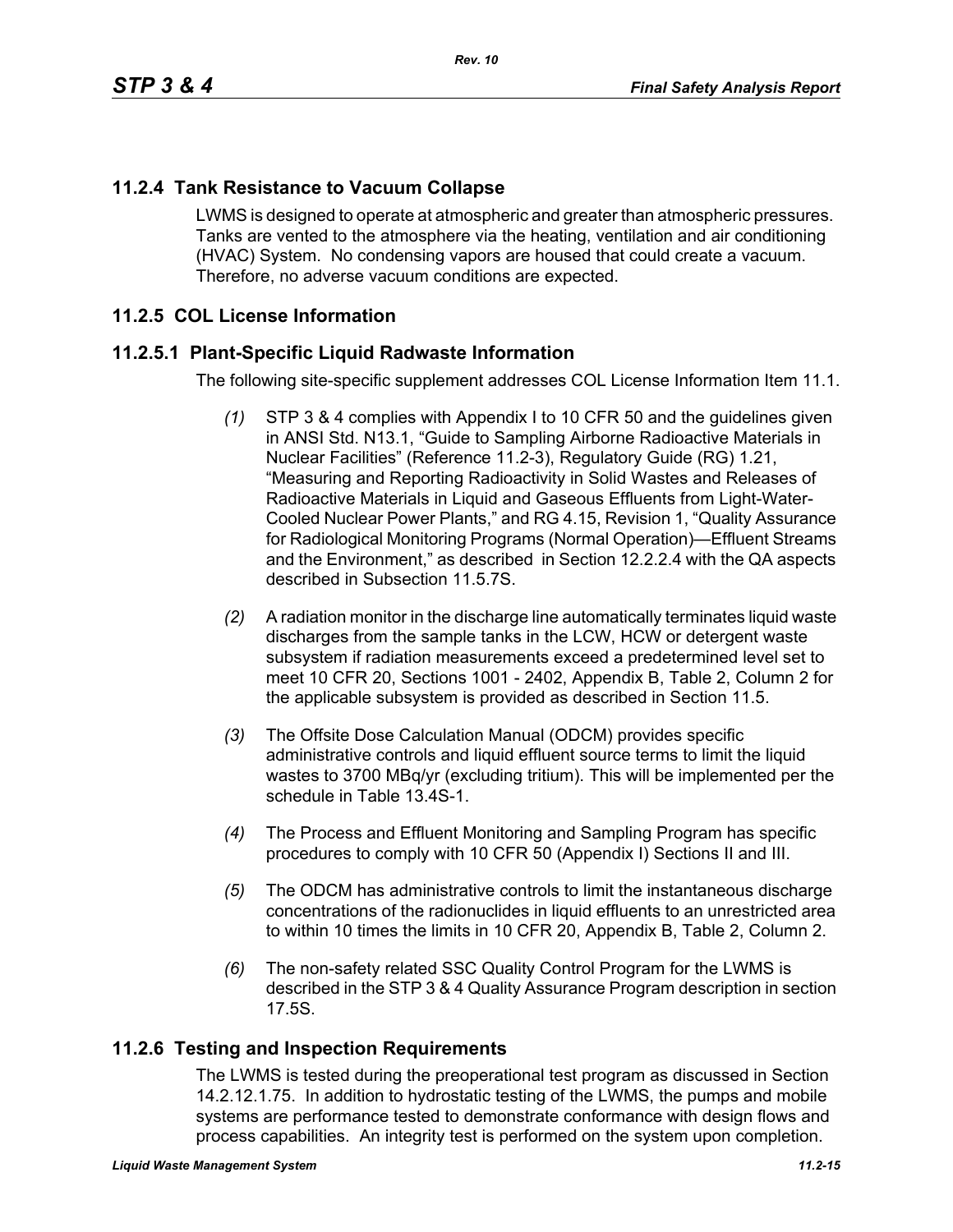### **11.2.4 Tank Resistance to Vacuum Collapse**

LWMS is designed to operate at atmospheric and greater than atmospheric pressures. Tanks are vented to the atmosphere via the heating, ventilation and air conditioning (HVAC) System. No condensing vapors are housed that could create a vacuum. Therefore, no adverse vacuum conditions are expected.

#### **11.2.5 COL License Information**

#### **11.2.5.1 Plant-Specific Liquid Radwaste Information**

The following site-specific supplement addresses COL License Information Item 11.1.

- *(1)* STP 3 & 4 complies with Appendix I to 10 CFR 50 and the guidelines given in ANSI Std. N13.1, "Guide to Sampling Airborne Radioactive Materials in Nuclear Facilities" (Reference 11.2-3), Regulatory Guide (RG) 1.21, "Measuring and Reporting Radioactivity in Solid Wastes and Releases of Radioactive Materials in Liquid and Gaseous Effluents from Light-Water-Cooled Nuclear Power Plants," and RG 4.15, Revision 1, "Quality Assurance for Radiological Monitoring Programs (Normal Operation)—Effluent Streams and the Environment," as described in Section 12.2.2.4 with the QA aspects described in Subsection 11.5.7S.
- *(2)* A radiation monitor in the discharge line automatically terminates liquid waste discharges from the sample tanks in the LCW, HCW or detergent waste subsystem if radiation measurements exceed a predetermined level set to meet 10 CFR 20, Sections 1001 - 2402, Appendix B, Table 2, Column 2 for the applicable subsystem is provided as described in Section 11.5.
- *(3)* The Offsite Dose Calculation Manual (ODCM) provides specific administrative controls and liquid effluent source terms to limit the liquid wastes to 3700 MBq/yr (excluding tritium). This will be implemented per the schedule in Table 13.4S-1.
- *(4)* The Process and Effluent Monitoring and Sampling Program has specific procedures to comply with 10 CFR 50 (Appendix I) Sections II and III.
- *(5)* The ODCM has administrative controls to limit the instantaneous discharge concentrations of the radionuclides in liquid effluents to an unrestricted area to within 10 times the limits in 10 CFR 20, Appendix B, Table 2, Column 2.
- *(6)* The non-safety related SSC Quality Control Program for the LWMS is described in the STP 3 & 4 Quality Assurance Program description in section 17.5S.

#### **11.2.6 Testing and Inspection Requirements**

The LWMS is tested during the preoperational test program as discussed in Section 14.2.12.1.75. In addition to hydrostatic testing of the LWMS, the pumps and mobile systems are performance tested to demonstrate conformance with design flows and process capabilities. An integrity test is performed on the system upon completion.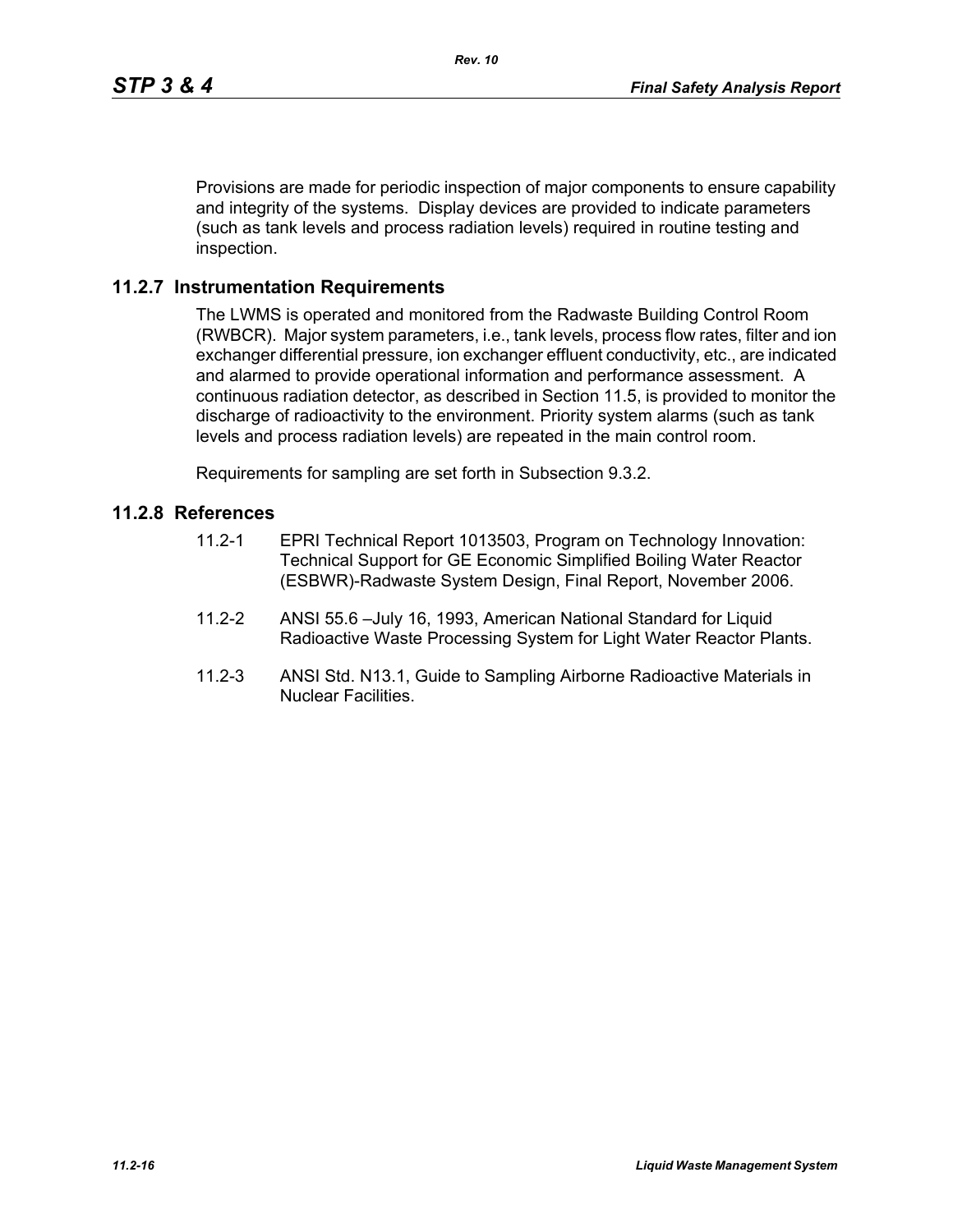Provisions are made for periodic inspection of major components to ensure capability and integrity of the systems. Display devices are provided to indicate parameters (such as tank levels and process radiation levels) required in routine testing and inspection.

#### **11.2.7 Instrumentation Requirements**

The LWMS is operated and monitored from the Radwaste Building Control Room (RWBCR). Major system parameters, i.e., tank levels, process flow rates, filter and ion exchanger differential pressure, ion exchanger effluent conductivity, etc., are indicated and alarmed to provide operational information and performance assessment. A continuous radiation detector, as described in Section 11.5, is provided to monitor the discharge of radioactivity to the environment. Priority system alarms (such as tank levels and process radiation levels) are repeated in the main control room.

Requirements for sampling are set forth in Subsection 9.3.2.

#### **11.2.8 References**

- 11.2-1 EPRI Technical Report 1013503, Program on Technology Innovation: Technical Support for GE Economic Simplified Boiling Water Reactor (ESBWR)-Radwaste System Design, Final Report, November 2006.
- 11.2-2 ANSI 55.6 –July 16, 1993, American National Standard for Liquid Radioactive Waste Processing System for Light Water Reactor Plants.
- 11.2-3 ANSI Std. N13.1, Guide to Sampling Airborne Radioactive Materials in Nuclear Facilities.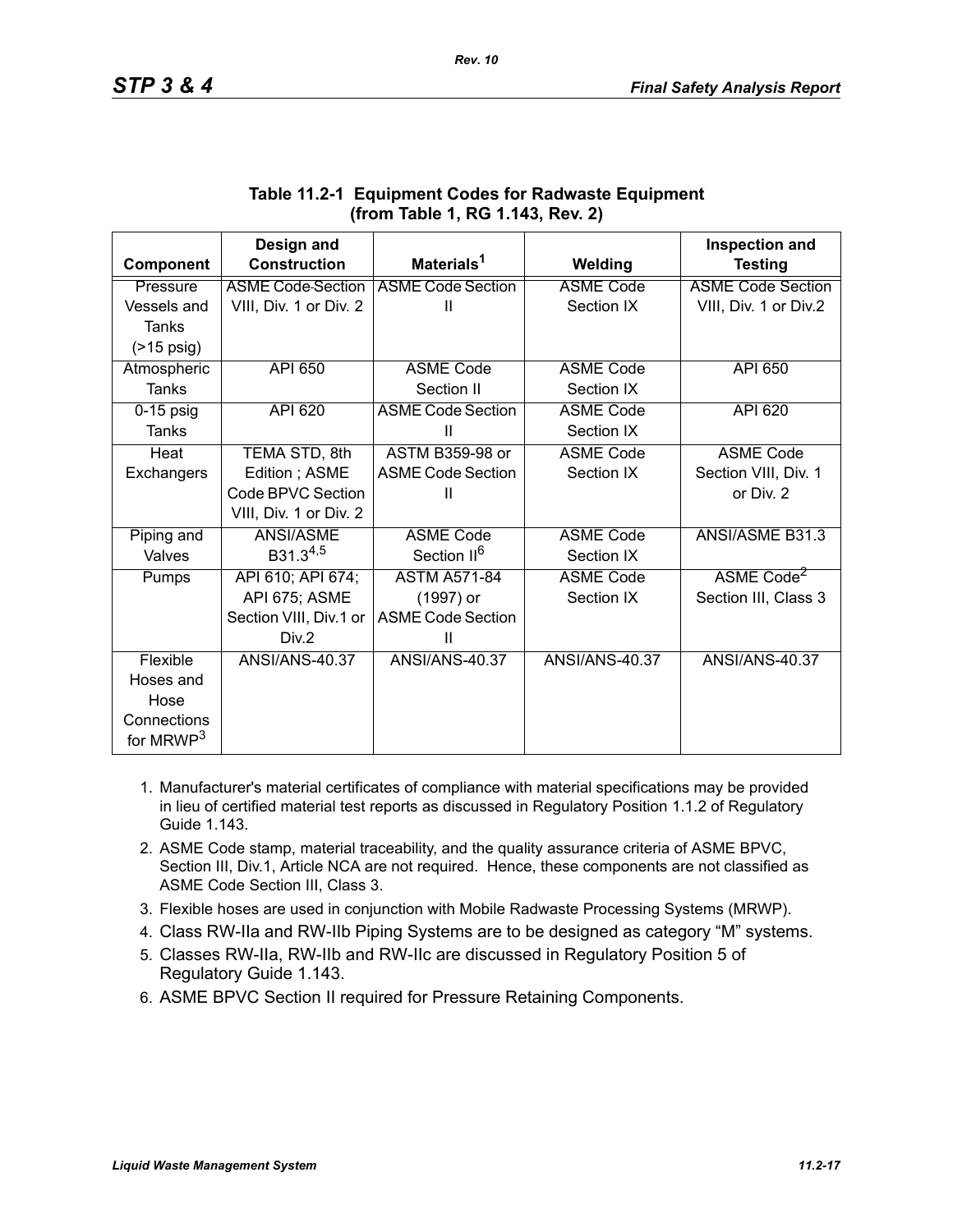|                       | Design and               |                          |                       | Inspection and           |
|-----------------------|--------------------------|--------------------------|-----------------------|--------------------------|
| Component             | <b>Construction</b>      | Materials <sup>1</sup>   | Welding               | <b>Testing</b>           |
| Pressure              | <b>ASME Code Section</b> | <b>ASME Code Section</b> | <b>ASME Code</b>      | <b>ASME Code Section</b> |
| Vessels and           | VIII, Div. 1 or Div. 2   | Ш                        | Section IX            | VIII, Div. 1 or Div.2    |
| Tanks                 |                          |                          |                       |                          |
| $($ >15 psig)         |                          |                          |                       |                          |
| Atmospheric           | <b>API 650</b>           | <b>ASME Code</b>         | <b>ASME Code</b>      | <b>API 650</b>           |
| <b>Tanks</b>          |                          | Section II               | Section IX            |                          |
| $0-15$ psig           | API 620                  | <b>ASME Code Section</b> | <b>ASME Code</b>      | API 620                  |
| Tanks                 |                          | Ш                        | Section IX            |                          |
| Heat                  | TEMA STD, 8th            | <b>ASTM B359-98 or</b>   | <b>ASME Code</b>      | <b>ASME Code</b>         |
| Exchangers            | Edition; ASME            | <b>ASME Code Section</b> | Section IX            | Section VIII, Div. 1     |
|                       | Code BPVC Section        | Ш                        |                       | or Div. 2                |
|                       | VIII, Div. 1 or Div. 2   |                          |                       |                          |
| Piping and            | ANSI/ASME                | <b>ASME Code</b>         | <b>ASME Code</b>      | ANSI/ASME B31.3          |
| Valves                | $B31.3^{4,5}$            | Section II <sup>6</sup>  | Section IX            |                          |
| Pumps                 | API 610; API 674;        | <b>ASTM A571-84</b>      | <b>ASME Code</b>      | ASME Code <sup>2</sup>   |
|                       | API 675; ASME            | (1997) or                | Section IX            | Section III, Class 3     |
|                       | Section VIII, Div.1 or   | <b>ASME Code Section</b> |                       |                          |
|                       | Div.2                    | Ш                        |                       |                          |
| Flexible              | <b>ANSI/ANS-40.37</b>    | <b>ANSI/ANS-40.37</b>    | <b>ANSI/ANS-40.37</b> | <b>ANSI/ANS-40.37</b>    |
| Hoses and             |                          |                          |                       |                          |
| Hose                  |                          |                          |                       |                          |
| Connections           |                          |                          |                       |                          |
| for MRWP <sup>3</sup> |                          |                          |                       |                          |

#### **Table 11.2-1 Equipment Codes for Radwaste Equipment (from Table 1, RG 1.143, Rev. 2)**

- 1. Manufacturer's material certificates of compliance with material specifications may be provided in lieu of certified material test reports as discussed in Regulatory Position 1.1.2 of Regulatory Guide 1.143.
- 2. ASME Code stamp, material traceability, and the quality assurance criteria of ASME BPVC, Section III, Div.1, Article NCA are not required. Hence, these components are not classified as ASME Code Section III, Class 3.
- 3. Flexible hoses are used in conjunction with Mobile Radwaste Processing Systems (MRWP).
- 4. Class RW-IIa and RW-IIb Piping Systems are to be designed as category "M" systems.
- 5. Classes RW-IIa, RW-IIb and RW-IIc are discussed in Regulatory Position 5 of Regulatory Guide 1.143.
- 6. ASME BPVC Section II required for Pressure Retaining Components.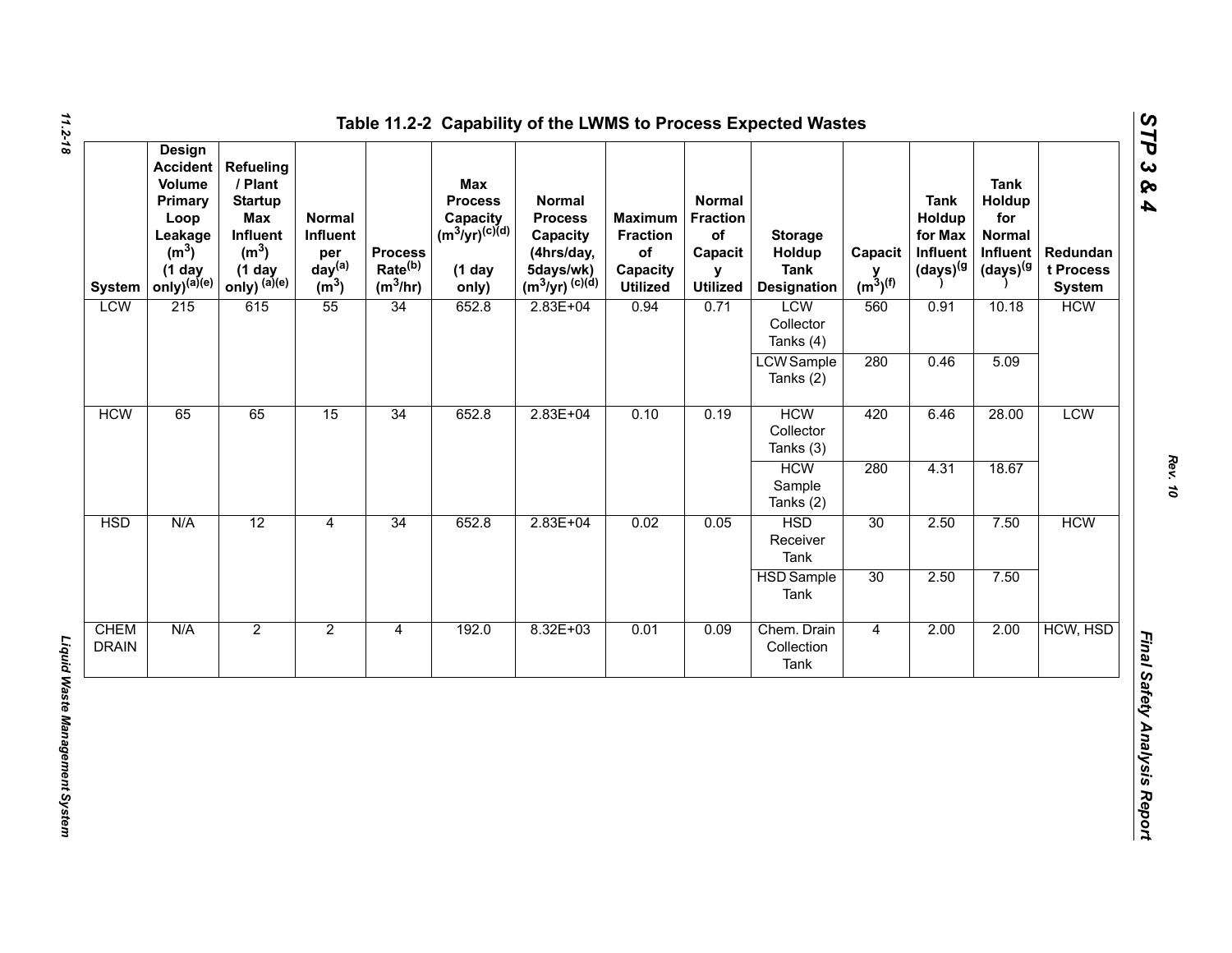| <b>System</b>               | <b>Design</b><br><b>Accident</b><br>Volume<br>Primary<br>Loop<br>Leakage<br>(m <sup>3</sup> )<br>$(1$ day<br>$only)^{(a)(e)}$ | Refueling<br>/ Plant<br><b>Startup</b><br>Max<br>Influent<br>(m <sup>3</sup> )<br>$(1$ day<br>only) $^{(a)(e)}$ | Normal<br>Influent<br>per<br>day <sup>(a)</sup><br>(m <sup>3</sup> ) | <b>Process</b><br>Rate <sup>(b)</sup><br>$(m^3/hr)$ | <b>Max</b><br><b>Process</b><br>Capacity<br>(m <sup>3</sup> /yr) <sup>(c)(d)</sup><br>$(1$ day<br>only) | <b>Normal</b><br><b>Process</b><br>Capacity<br>(4hrs/day,<br>5days/wk)<br>$(m^3/yr)^{(c)(d)}$ | <b>Maximum</b><br><b>Fraction</b><br>of<br>Capacity<br><b>Utilized</b> | <b>Normal</b><br><b>Fraction</b><br>of<br>Capacit<br>y<br><b>Utilized</b> | <b>Storage</b><br>Holdup<br><b>Tank</b><br><b>Designation</b> | Capacit<br>$y$ <sub>(m<sup>3</sup>)<sup>(f)</sup></sub> | <b>Tank</b><br>Holdup<br>for Max<br>Influent<br>$(days)^{(g)}$ | <b>Tank</b><br>Holdup<br>for<br><b>Normal</b><br>Influent<br>(days) <sup>(g</sup> | Redundan<br>t Process<br><b>System</b> |
|-----------------------------|-------------------------------------------------------------------------------------------------------------------------------|-----------------------------------------------------------------------------------------------------------------|----------------------------------------------------------------------|-----------------------------------------------------|---------------------------------------------------------------------------------------------------------|-----------------------------------------------------------------------------------------------|------------------------------------------------------------------------|---------------------------------------------------------------------------|---------------------------------------------------------------|---------------------------------------------------------|----------------------------------------------------------------|-----------------------------------------------------------------------------------|----------------------------------------|
| <b>LCW</b>                  | 215                                                                                                                           | 615                                                                                                             | 55                                                                   | 34                                                  | 652.8                                                                                                   | $2.83E + 04$                                                                                  | 0.94                                                                   | 0.71                                                                      | LCW<br>Collector<br>Tanks (4)                                 | 560                                                     | 0.91                                                           | 10.18                                                                             | <b>HCW</b>                             |
|                             |                                                                                                                               |                                                                                                                 |                                                                      |                                                     |                                                                                                         |                                                                                               |                                                                        |                                                                           | <b>LCW</b> Sample<br>Tanks (2)                                | 280                                                     | 0.46                                                           | 5.09                                                                              |                                        |
| <b>HCW</b>                  | 65                                                                                                                            | 65                                                                                                              | 15                                                                   | 34                                                  | 652.8                                                                                                   | $2.83E + 04$                                                                                  | 0.10                                                                   | 0.19                                                                      | <b>HCW</b><br>Collector<br>Tanks (3)                          | 420                                                     | 6.46                                                           | 28.00                                                                             | <b>LCW</b>                             |
|                             |                                                                                                                               |                                                                                                                 |                                                                      |                                                     |                                                                                                         |                                                                                               |                                                                        |                                                                           | <b>HCW</b><br>Sample<br>Tanks (2)                             | 280                                                     | 4.31                                                           | 18.67                                                                             |                                        |
| <b>HSD</b>                  | N/A                                                                                                                           | 12                                                                                                              | $\overline{4}$                                                       | 34                                                  | 652.8                                                                                                   | $2.83E + 04$                                                                                  | 0.02                                                                   | 0.05                                                                      | <b>HSD</b><br>Receiver<br>Tank                                | 30                                                      | 2.50                                                           | 7.50                                                                              | <b>HCW</b>                             |
|                             |                                                                                                                               |                                                                                                                 |                                                                      |                                                     |                                                                                                         |                                                                                               |                                                                        |                                                                           | <b>HSD</b> Sample<br>Tank                                     | 30                                                      | 2.50                                                           | 7.50                                                                              |                                        |
| <b>CHEM</b><br><b>DRAIN</b> | N/A                                                                                                                           | $\overline{2}$                                                                                                  | $\overline{2}$                                                       | $\overline{4}$                                      | 192.0                                                                                                   | $8.32E + 03$                                                                                  | 0.01                                                                   | 0.09                                                                      | Chem. Drain<br>Collection<br>Tank                             | $\overline{4}$                                          | 2.00                                                           | 2.00                                                                              | HCW, HSD                               |

*STP 3 & 4*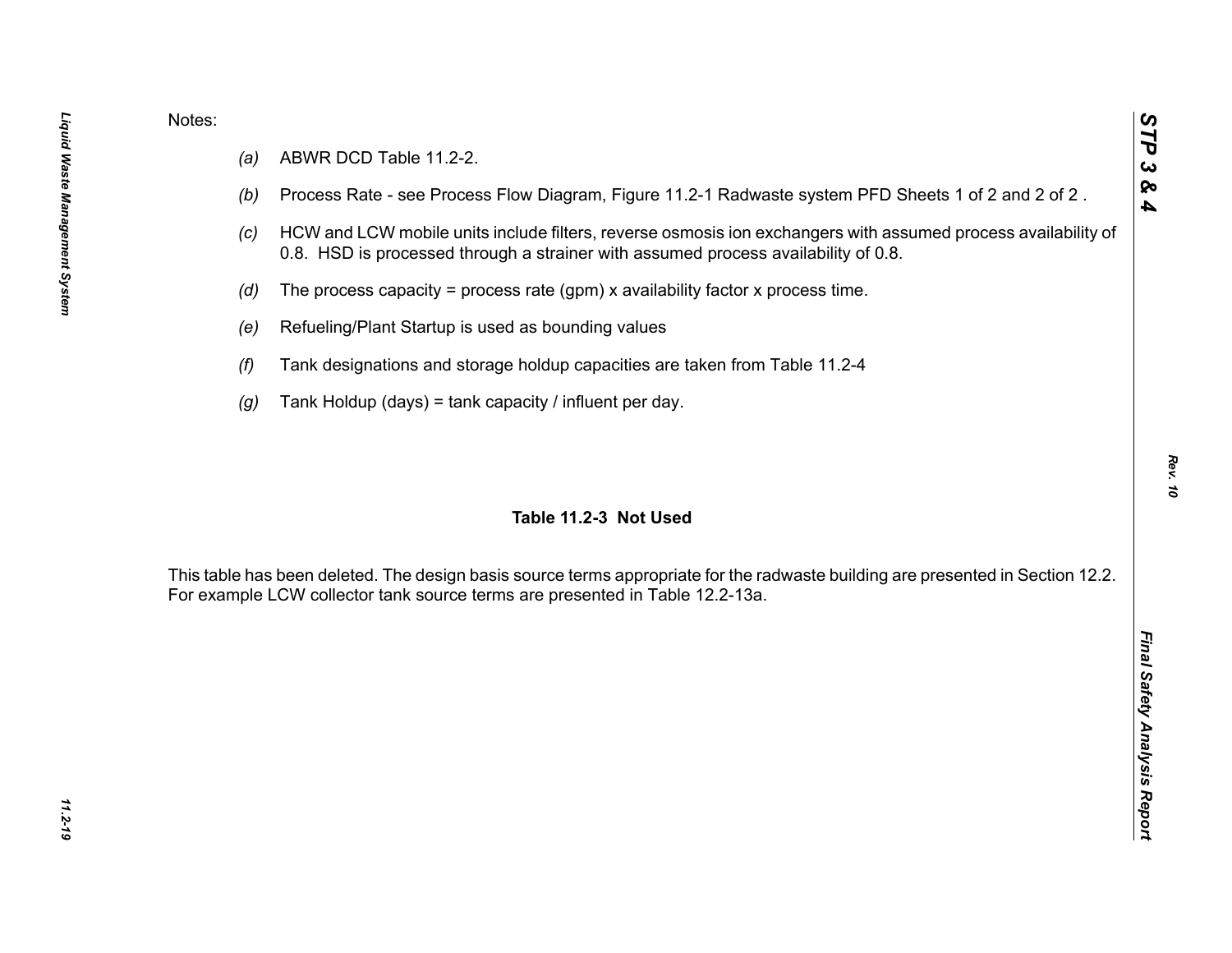- 
- 
- 
- 
- 
- 
- 

Notes:<br>
(a) ABWR DCD Table 11.2-2.<br>
(b) Process Rate - see Process Flow Diagram, Figure 11.2-1 Radwaste system PFD Sheets 1 of 2 and 2 of 2.<br>
(c) HCW and LCW mobile units include filters, reverse osmosis ion exchangers wit

*Rev. 10*

*STP 3 & 4*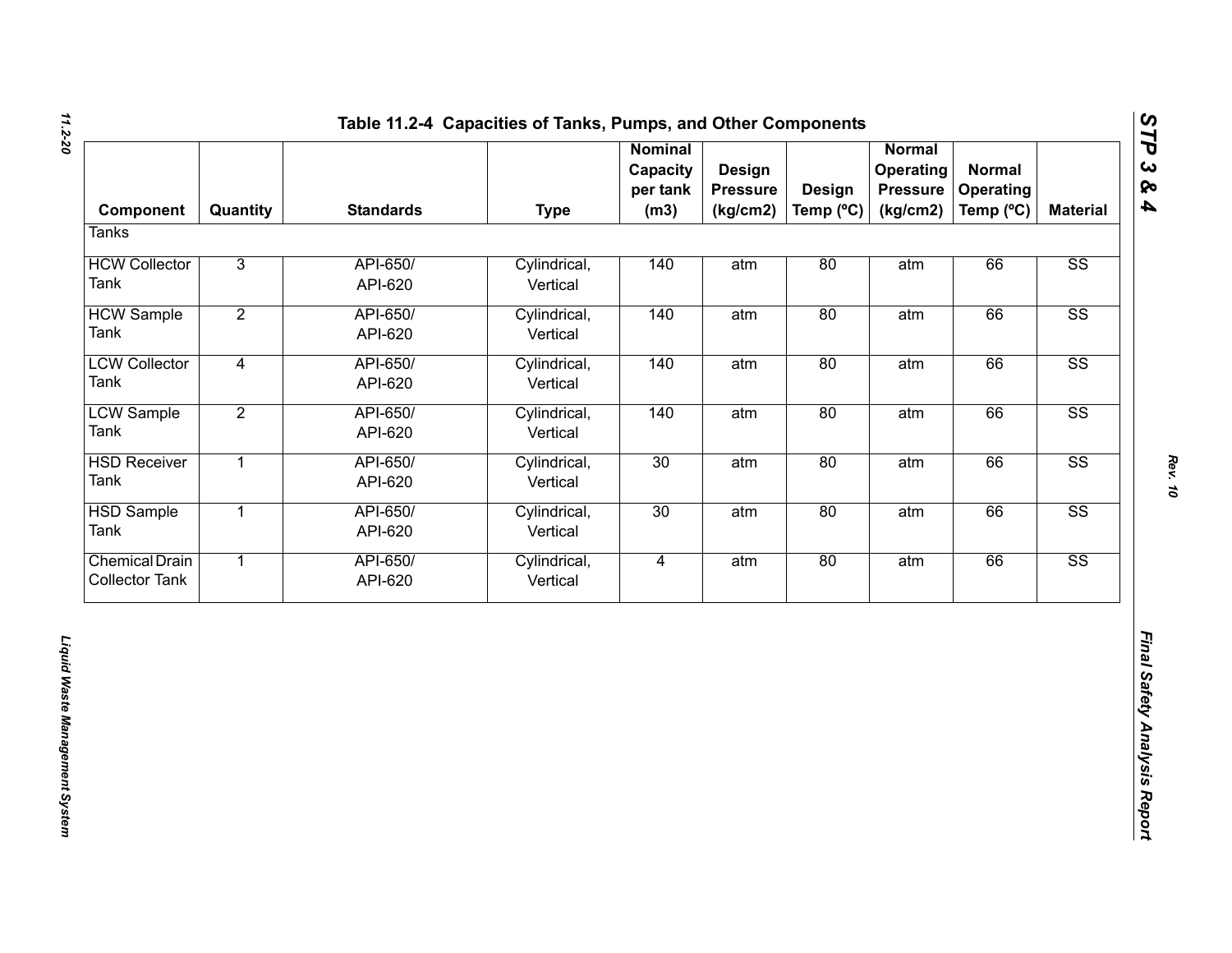| Component                                      | Quantity       | <b>Standards</b>    | <b>Type</b>              | <b>Nominal</b><br>Capacity<br>per tank<br>(m3) | <b>Design</b><br><b>Pressure</b><br>(kg/cm2) | <b>Design</b><br>Temp (°C) | <b>Normal</b><br>Operating<br><b>Pressure</b><br>(kg/cm2) | <b>Normal</b><br>Operating<br>Temp (°C) | <b>Material</b>        |
|------------------------------------------------|----------------|---------------------|--------------------------|------------------------------------------------|----------------------------------------------|----------------------------|-----------------------------------------------------------|-----------------------------------------|------------------------|
| <b>Tanks</b>                                   |                |                     |                          |                                                |                                              |                            |                                                           |                                         |                        |
| <b>HCW Collector</b><br>Tank                   | $\overline{3}$ | API-650/<br>API-620 | Cylindrical,<br>Vertical | 140                                            | atm                                          | 80                         | atm                                                       | 66                                      | SS                     |
| <b>HCW Sample</b><br>Tank                      | $\overline{2}$ | API-650/<br>API-620 | Cylindrical,<br>Vertical | 140                                            | atm                                          | 80                         | atm                                                       | 66                                      | $\overline{\text{SS}}$ |
| <b>LCW Collector</b><br>Tank                   | $\overline{4}$ | API-650/<br>API-620 | Cylindrical,<br>Vertical | 140                                            | atm                                          | 80                         | atm                                                       | 66                                      | $\overline{\text{SS}}$ |
| <b>LCW Sample</b><br>Tank                      | $\overline{2}$ | API-650/<br>API-620 | Cylindrical,<br>Vertical | 140                                            | atm                                          | 80                         | atm                                                       | 66                                      | $\overline{\text{SS}}$ |
| <b>HSD Receiver</b><br>Tank                    | $\mathbf{1}$   | API-650/<br>API-620 | Cylindrical,<br>Vertical | 30                                             | atm                                          | 80                         | atm                                                       | 66                                      | $\overline{\text{SS}}$ |
| <b>HSD Sample</b><br>Tank                      | $\overline{1}$ | API-650/<br>API-620 | Cylindrical,<br>Vertical | 30                                             | atm                                          | 80                         | atm                                                       | 66                                      | $\overline{\text{SS}}$ |
| <b>Chemical Drain</b><br><b>Collector Tank</b> | $\overline{1}$ | API-650/<br>API-620 | Cylindrical,<br>Vertical | $\overline{4}$                                 | atm                                          | 80                         | atm                                                       | 66                                      | SS                     |
|                                                |                |                     |                          |                                                |                                              |                            |                                                           |                                         |                        |

# *STP 3 & 4*

*Rev. 10*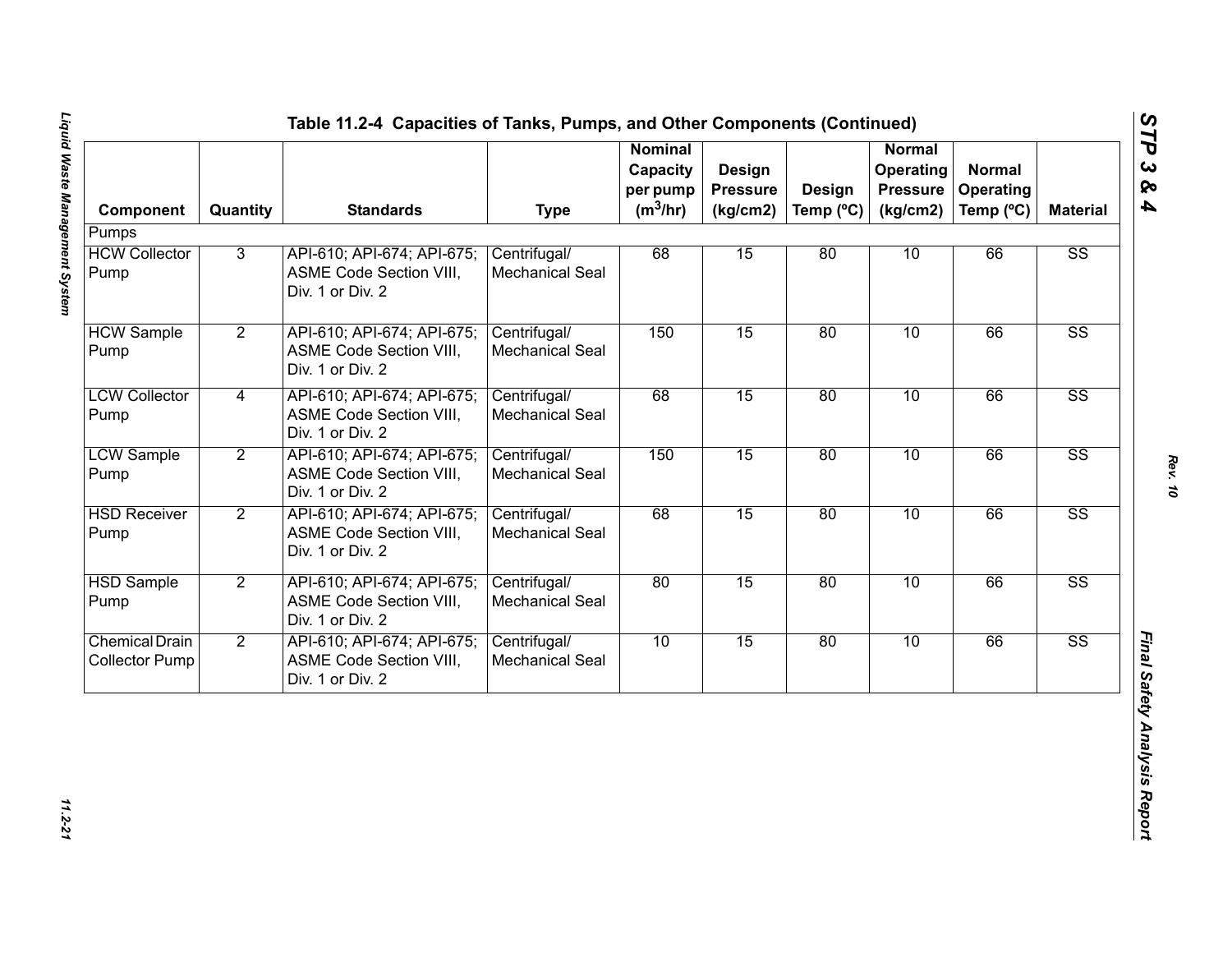| Component                                      | Quantity       | <b>Standards</b>                                                                 | <b>Type</b>                            | <b>Nominal</b><br>Capacity<br>per pump<br>$(m^3/hr)$ | Design<br><b>Pressure</b><br>(kg/cm2) | Design<br>Temp $(^{\circ}C)$ | <b>Normal</b><br>Operating<br><b>Pressure</b><br>(kg/cm2) | <b>Normal</b><br>Operating<br>Temp (°C) | <b>Material</b>        |
|------------------------------------------------|----------------|----------------------------------------------------------------------------------|----------------------------------------|------------------------------------------------------|---------------------------------------|------------------------------|-----------------------------------------------------------|-----------------------------------------|------------------------|
| Pumps                                          |                |                                                                                  |                                        |                                                      |                                       |                              |                                                           |                                         |                        |
| <b>HCW Collector</b><br>Pump                   | 3              | API-610; API-674; API-675;<br><b>ASME Code Section VIII,</b><br>Div. 1 or Div. 2 | Centrifugal/<br><b>Mechanical Seal</b> | 68                                                   | 15                                    | 80                           | 10                                                        | 66                                      | $\overline{\text{SS}}$ |
| <b>HCW Sample</b><br>Pump                      | $\overline{2}$ | API-610; API-674; API-675;<br>ASME Code Section VIII,<br>Div. 1 or Div. 2        | Centrifugal/<br><b>Mechanical Seal</b> | 150                                                  | 15                                    | 80                           | 10                                                        | 66                                      | $\overline{\text{SS}}$ |
| <b>LCW Collector</b><br>Pump                   | 4              | API-610; API-674; API-675;<br>ASME Code Section VIII,<br>Div. 1 or Div. 2        | Centrifugal/<br>Mechanical Seal        | 68                                                   | 15                                    | 80                           | 10                                                        | 66                                      | $\overline{\text{SS}}$ |
| <b>LCW Sample</b><br>Pump                      | $\overline{2}$ | API-610; API-674; API-675;<br>ASME Code Section VIII,<br>Div. 1 or Div. 2        | Centrifugal/<br><b>Mechanical Seal</b> | 150                                                  | 15                                    | 80                           | 10                                                        | 66                                      | $\overline{\text{SS}}$ |
| <b>HSD Receiver</b><br>Pump                    | $\overline{2}$ | API-610; API-674; API-675;<br>ASME Code Section VIII,<br>Div. 1 or Div. 2        | Centrifugal/<br>Mechanical Seal        | 68                                                   | 15                                    | 80                           | 10                                                        | 66                                      | $\overline{\text{SS}}$ |
| <b>HSD Sample</b><br>Pump                      | $\overline{2}$ | API-610; API-674; API-675;<br><b>ASME Code Section VIII,</b><br>Div. 1 or Div. 2 | Centrifugal/<br>Mechanical Seal        | 80                                                   | 15                                    | 80                           | 10                                                        | 66                                      | $\overline{\text{SS}}$ |
| <b>Chemical Drain</b><br><b>Collector Pump</b> | $\overline{2}$ | API-610; API-674; API-675;<br>ASME Code Section VIII,<br>Div. 1 or Div. 2        | Centrifugal/<br>Mechanical Seal        | 10                                                   | 15                                    | 80                           | 10                                                        | 66                                      | $\overline{\text{SS}}$ |

*STP 3 & 4*

11.2-21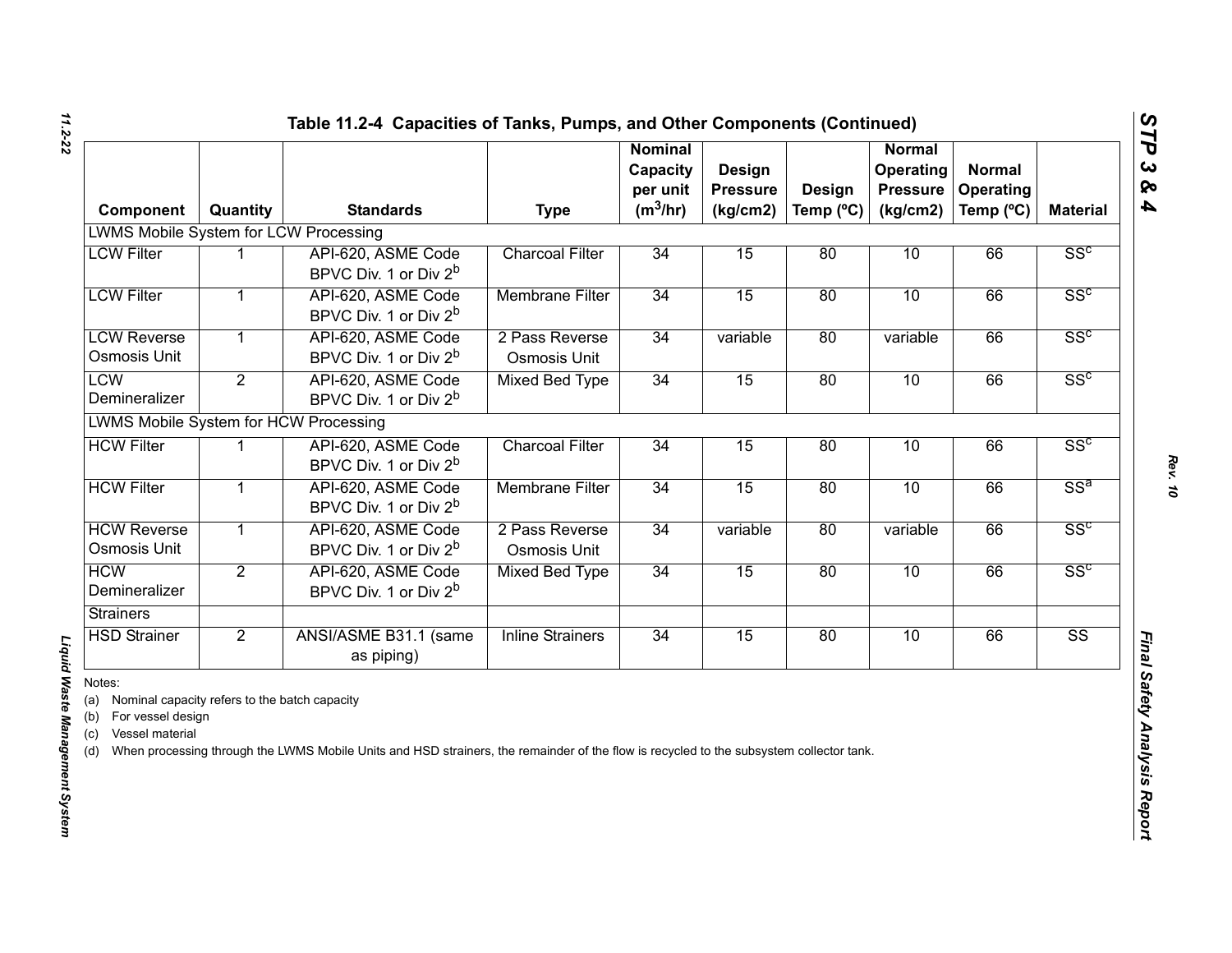| Component                                                                                                             | Quantity       | <b>Standards</b>                                                                                                                        | <b>Type</b>                    | <b>Nominal</b><br>Capacity<br>per unit<br>$(m^3/hr)$ | <b>Design</b><br><b>Pressure</b><br>(kg/cm2) | <b>Design</b><br>Temp $(^{\circ}C)$ | Normal<br>Operating<br><b>Pressure</b><br>(kg/cm2) | <b>Normal</b><br>Operating<br>Temp (°C) | <b>Material</b>        |
|-----------------------------------------------------------------------------------------------------------------------|----------------|-----------------------------------------------------------------------------------------------------------------------------------------|--------------------------------|------------------------------------------------------|----------------------------------------------|-------------------------------------|----------------------------------------------------|-----------------------------------------|------------------------|
| <b>LWMS Mobile System for LCW Processing</b>                                                                          |                |                                                                                                                                         |                                |                                                      |                                              |                                     |                                                    |                                         |                        |
| <b>LCW Filter</b>                                                                                                     |                | API-620, ASME Code<br>BPVC Div. 1 or Div 2 <sup>b</sup>                                                                                 | <b>Charcoal Filter</b>         | 34                                                   | 15                                           | 80                                  | 10                                                 | 66                                      | SS <sup>c</sup>        |
| <b>LCW Filter</b>                                                                                                     | 1              | API-620, ASME Code<br>BPVC Div. 1 or Div 2 <sup>b</sup>                                                                                 | <b>Membrane Filter</b>         | 34                                                   | 15                                           | 80                                  | 10                                                 | 66                                      | SS <sup>c</sup>        |
| <b>LCW Reverse</b><br>Osmosis Unit                                                                                    | $\mathbf{1}$   | API-620, ASME Code<br>BPVC Div. 1 or Div 2 <sup>b</sup>                                                                                 | 2 Pass Reverse<br>Osmosis Unit | 34                                                   | variable                                     | 80                                  | variable                                           | 66                                      | SS <sup>c</sup>        |
| <b>LCW</b><br>Demineralizer                                                                                           | $\overline{2}$ | API-620, ASME Code<br>BPVC Div. 1 or Div 2 <sup>b</sup>                                                                                 | <b>Mixed Bed Type</b>          | 34                                                   | 15                                           | 80                                  | 10                                                 | 66                                      | SS <sup>c</sup>        |
| <b>LWMS Mobile System for HCW Processing</b>                                                                          |                |                                                                                                                                         |                                |                                                      |                                              |                                     |                                                    |                                         |                        |
| <b>HCW Filter</b>                                                                                                     |                | API-620, ASME Code<br>BPVC Div. 1 or Div 2 <sup>b</sup>                                                                                 | <b>Charcoal Filter</b>         | 34                                                   | 15                                           | 80                                  | 10                                                 | 66                                      | SS <sup>c</sup>        |
| <b>HCW Filter</b>                                                                                                     | $\mathbf{1}$   | API-620, ASME Code<br>BPVC Div. 1 or Div 2 <sup>b</sup>                                                                                 | <b>Membrane Filter</b>         | 34                                                   | 15                                           | 80                                  | 10                                                 | 66                                      | $SS^a$                 |
| <b>HCW Reverse</b><br>Osmosis Unit                                                                                    | $\mathbf{1}$   | API-620, ASME Code<br>BPVC Div. 1 or Div 2 <sup>b</sup>                                                                                 | 2 Pass Reverse<br>Osmosis Unit | 34                                                   | variable                                     | 80                                  | variable                                           | 66                                      | SS <sup>c</sup>        |
| <b>HCW</b><br>Demineralizer                                                                                           | $\overline{2}$ | API-620, ASME Code<br>BPVC Div. 1 or Div 2 <sup>b</sup>                                                                                 | <b>Mixed Bed Type</b>          | 34                                                   | 15                                           | 80                                  | 10                                                 | 66                                      | SS <sup>c</sup>        |
| <b>Strainers</b>                                                                                                      |                |                                                                                                                                         |                                |                                                      |                                              |                                     |                                                    |                                         |                        |
| <b>HSD Strainer</b>                                                                                                   | $\overline{2}$ | ANSI/ASME B31.1 (same<br>as piping)                                                                                                     | <b>Inline Strainers</b>        | 34                                                   | 15                                           | 80                                  | 10                                                 | 66                                      | $\overline{\text{SS}}$ |
| Notes:<br>(a) Nominal capacity refers to the batch capacity<br>(b) For vessel design<br>Vessel material<br>(c)<br>(d) |                | When processing through the LWMS Mobile Units and HSD strainers, the remainder of the flow is recycled to the subsystem collector tank. |                                |                                                      |                                              |                                     |                                                    |                                         |                        |

## Liquid Waste Management System *Liquid Waste Management System*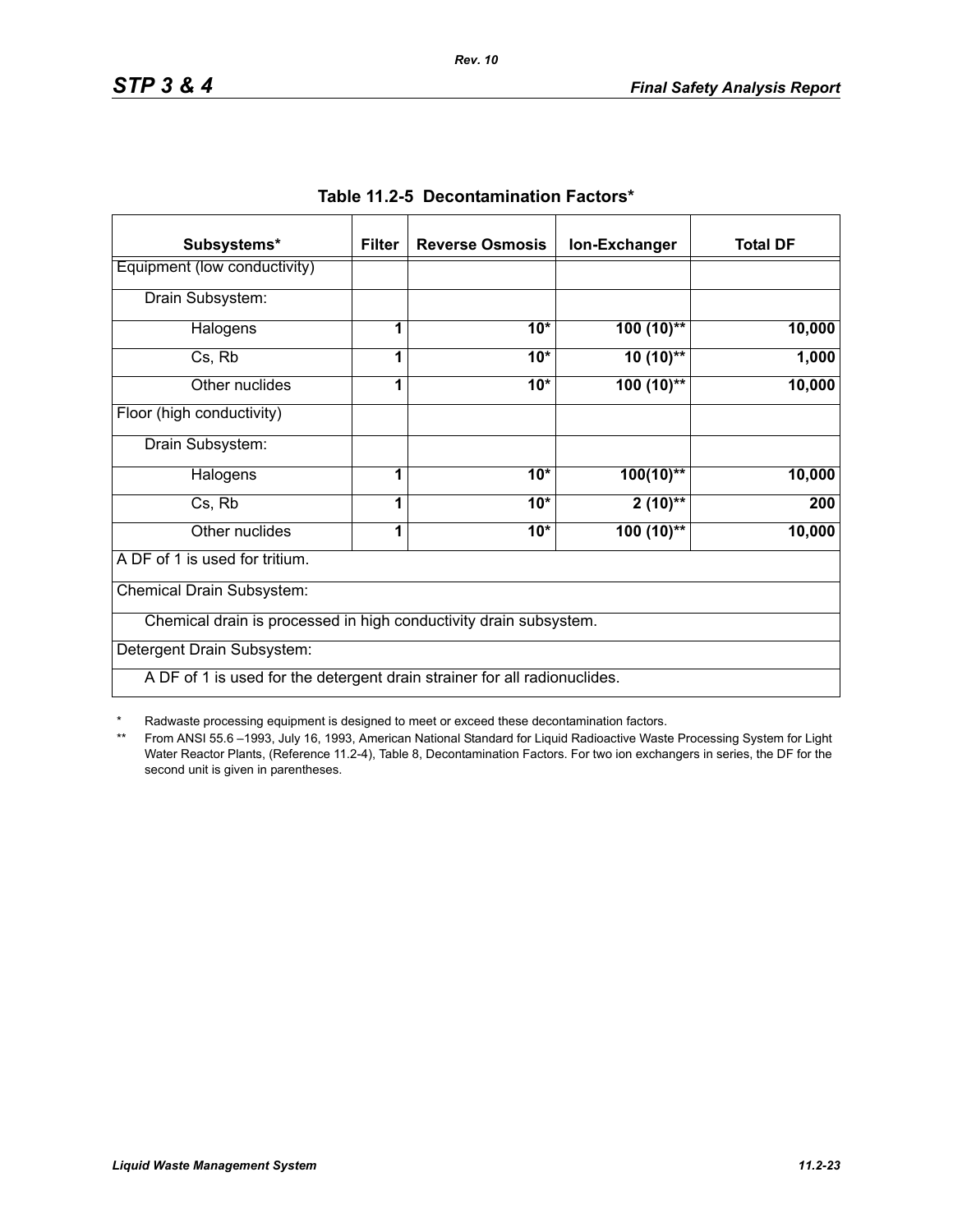| Subsystems*                                                               | <b>Filter</b> | <b>Reverse Osmosis</b> | Ion-Exchanger | <b>Total DF</b> |
|---------------------------------------------------------------------------|---------------|------------------------|---------------|-----------------|
| Equipment (low conductivity)                                              |               |                        |               |                 |
| Drain Subsystem:                                                          |               |                        |               |                 |
| Halogens                                                                  | 1             | $10*$                  | $100(10)$ **  | 10,000          |
| Cs, Rb                                                                    |               | $10*$                  | $10(10)$ **   | 1,000           |
| Other nuclides                                                            | 1             | $10*$                  | $100(10)$ **  | 10,000          |
| Floor (high conductivity)                                                 |               |                        |               |                 |
| Drain Subsystem:                                                          |               |                        |               |                 |
| Halogens                                                                  | 1             | $10*$                  | $100(10)$ **  | 10,000          |
| Cs, Rb                                                                    | 1             | $10*$                  | $2(10)$ **    | 200             |
| Other nuclides                                                            | 1             | $10*$                  | 100 (10)**    | 10,000          |
| A DF of 1 is used for tritium.                                            |               |                        |               |                 |
| Chemical Drain Subsystem:                                                 |               |                        |               |                 |
| Chemical drain is processed in high conductivity drain subsystem.         |               |                        |               |                 |
| Detergent Drain Subsystem:                                                |               |                        |               |                 |
| A DF of 1 is used for the detergent drain strainer for all radionuclides. |               |                        |               |                 |

|  | Table 11.2-5 Decontamination Factors* |  |
|--|---------------------------------------|--|
|--|---------------------------------------|--|

*Rev. 10*

\* Radwaste processing equipment is designed to meet or exceed these decontamination factors.

\*\* From ANSI 55.6 –1993, July 16, 1993, American National Standard for Liquid Radioactive Waste Processing System for Light Water Reactor Plants, (Reference 11.2-4), Table 8, Decontamination Factors. For two ion exchangers in series, the DF for the second unit is given in parentheses.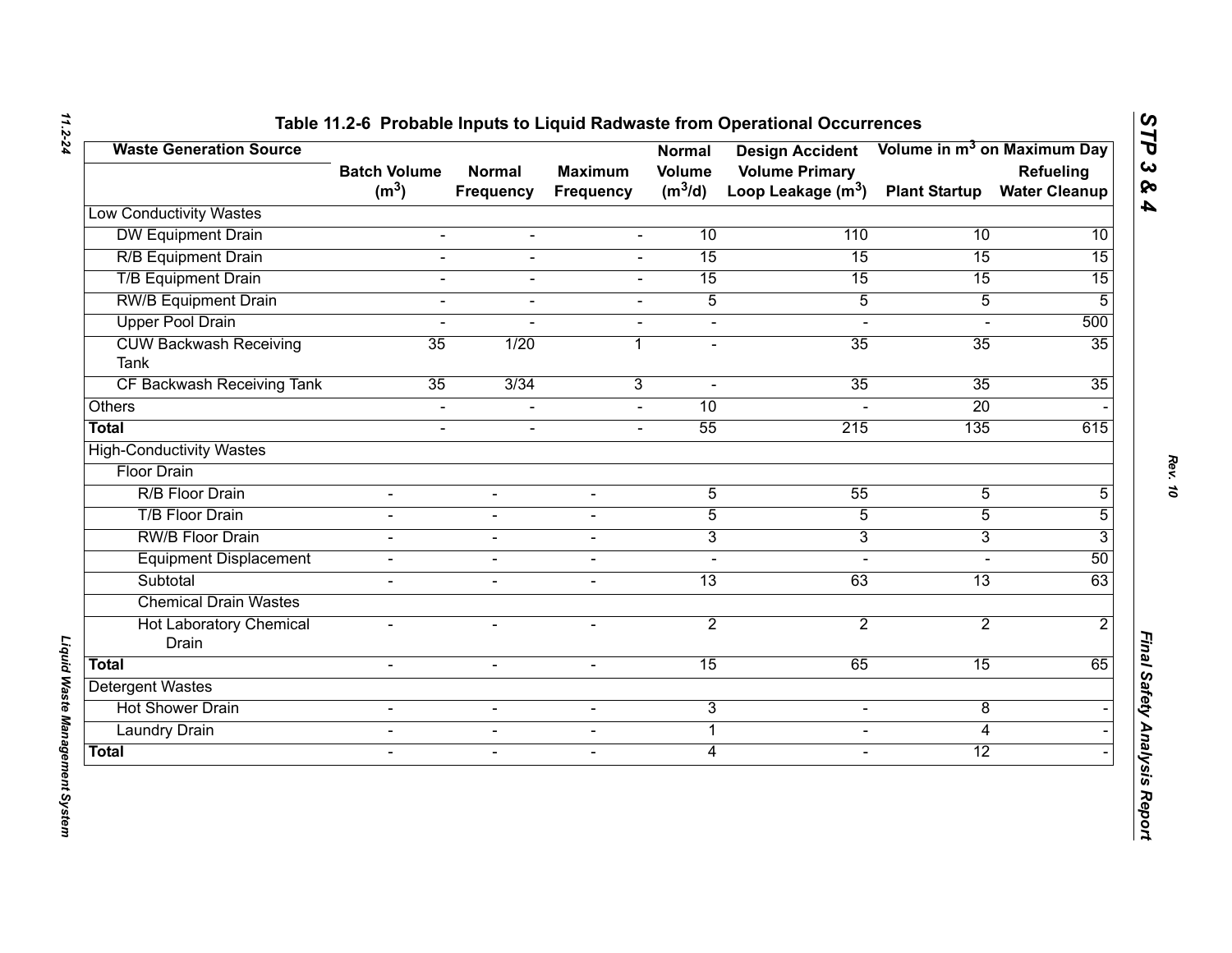| <b>Waste Generation Source</b>               | <b>Batch Volume</b> | <b>Normal</b>    | <b>Maximum</b>           | <b>Normal</b><br><b>Volume</b> | <b>Design Accident</b><br><b>Volume Primary</b> |                      | Volume in m <sup>3</sup> on Maximum Day<br>Refueling |
|----------------------------------------------|---------------------|------------------|--------------------------|--------------------------------|-------------------------------------------------|----------------------|------------------------------------------------------|
|                                              | (m <sup>3</sup> )   | <b>Frequency</b> | <b>Frequency</b>         | $(m^3/d)$                      | Loop Leakage $(m^3)$                            | <b>Plant Startup</b> | <b>Water Cleanup</b>                                 |
| <b>Low Conductivity Wastes</b>               |                     |                  |                          |                                |                                                 |                      |                                                      |
| <b>DW Equipment Drain</b>                    | $\blacksquare$      | $\blacksquare$   | $\blacksquare$           | 10                             | 110                                             | 10                   | 10                                                   |
| <b>R/B Equipment Drain</b>                   | $\overline{a}$      | $\blacksquare$   | $\overline{a}$           | 15                             | 15                                              | 15                   | $\overline{15}$                                      |
| <b>T/B Equipment Drain</b>                   | $\overline{a}$      | $\blacksquare$   | $\mathbf{r}$             | 15                             | 15                                              | 15                   | 15                                                   |
| <b>RW/B Equipment Drain</b>                  | L.                  |                  |                          | $\overline{5}$                 | $\overline{5}$                                  | $\overline{5}$       | 5                                                    |
| <b>Upper Pool Drain</b>                      | $\overline{a}$      |                  | $\blacksquare$           | $\blacksquare$                 | $\blacksquare$                                  |                      | 500                                                  |
| <b>CUW Backwash Receiving</b><br><b>Tank</b> | 35                  | 1/20             | 1                        | $\blacksquare$                 | 35                                              | 35                   | 35                                                   |
| CF Backwash Receiving Tank                   | 35                  | 3/34             | 3                        | $\sim$                         | 35                                              | $\overline{35}$      | 35                                                   |
| Others                                       | $\blacksquare$      |                  |                          | 10                             |                                                 | 20                   |                                                      |
| <b>Total</b>                                 | $\overline{a}$      | $\blacksquare$   | $\sim$                   | 55                             | 215                                             | 135                  | 615                                                  |
| <b>High-Conductivity Wastes</b>              |                     |                  |                          |                                |                                                 |                      |                                                      |
| <b>Floor Drain</b>                           |                     |                  |                          |                                |                                                 |                      |                                                      |
| R/B Floor Drain                              |                     |                  |                          | $\overline{5}$                 | 55                                              | $\overline{5}$       | 5                                                    |
| <b>T/B Floor Drain</b>                       | $\blacksquare$      | $\sim$           | $\blacksquare$           | $\overline{5}$                 | $\overline{5}$                                  | $\overline{5}$       | 5                                                    |
| <b>RW/B Floor Drain</b>                      |                     | $\sim$           | $\overline{\phantom{0}}$ | $\overline{3}$                 | $\overline{3}$                                  | 3                    | 3                                                    |
| <b>Equipment Displacement</b>                | $\blacksquare$      | $\blacksquare$   | $\sim$                   | $\blacksquare$                 | $\sim$                                          | $\overline{a}$       | 50                                                   |
| Subtotal                                     |                     | $\blacksquare$   | $\blacksquare$           | $\overline{13}$                | 63                                              | $\overline{13}$      | 63                                                   |
| <b>Chemical Drain Wastes</b>                 |                     |                  |                          |                                |                                                 |                      |                                                      |
| <b>Hot Laboratory Chemical</b><br>Drain      | $\blacksquare$      | $\sim$           | $\overline{\phantom{0}}$ | $\overline{2}$                 | $\overline{2}$                                  | $\overline{2}$       | $\overline{2}$                                       |
| <b>Total</b>                                 | $\overline{a}$      | $\mathbf{r}$     | $\sim$                   | 15                             | 65                                              | 15                   | 65                                                   |
| <b>Detergent Wastes</b>                      |                     |                  |                          |                                |                                                 |                      |                                                      |
| <b>Hot Shower Drain</b>                      | $\blacksquare$      | $\blacksquare$   | $\blacksquare$           | 3                              | $\blacksquare$                                  | 8                    |                                                      |
| <b>Laundry Drain</b>                         | $\Delta$            | $\blacksquare$   | $\blacksquare$           | $\mathbf 1$                    | $\blacksquare$                                  | 4                    |                                                      |
| <b>Total</b>                                 | $\blacksquare$      | $\sim$           | $\overline{\phantom{a}}$ | $\overline{4}$                 | $\blacksquare$                                  | $\overline{12}$      |                                                      |

*11.2-24*

*Liquid Waste Management System* 

Liquid Waste Management System

*STP 3 & 4*